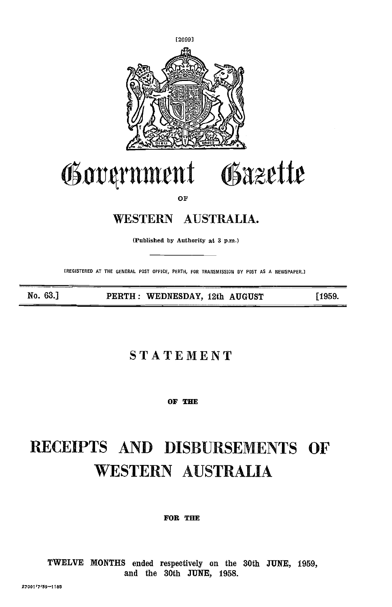

# rrnynrnent Grzette

OF

# WESTERN AUSTRALIA.

(Publishea by Authority at 3 p.m.)

(REGISTERED AT THE GENERAL POST OFFICE, PERTH, FOR TRANSMISSION BY POST AS A NEWSPAPER.]

No. 63.] PERTH: WEDNESDAY, 12th AUGUST [1959.

## STATEMENT

OF THE

# RECEIPTS AND DISBURSEMENTS OF WESTERN AUSTRALIA

FOR THE

TWELVE MONTHS ended respectively on the 30th JUNE, 1959, and the 30th JUNE, 1958.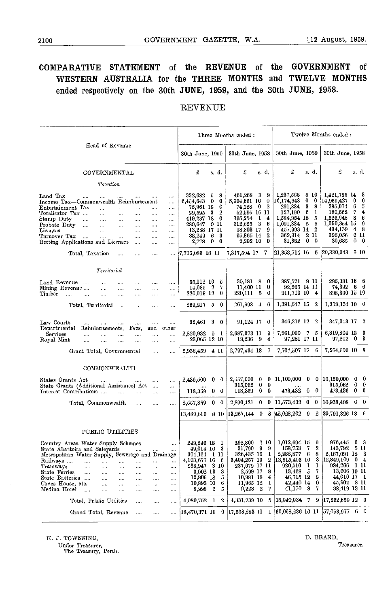### COMPARATIVE STATEMENT of the REVENUE of the GOVERNMENT of WESTERN AUSTRALIA for the THREE MONTHS and TWELVE MONTHS ended respectively on the 30th JUNE, 1959, and the 30th JUNE, 1958.

#### REVENUE

|                                                                                                                                                                                                                                                                                                                                                                                                                                                                                                                                                                                                                                                                                                   |                                                                                                                                                                                                                            | Three Months ended:                                                                                                                                                                                                 |                                                                                                                                                                                                                                                               | Twelve Months ended:                                                                                                                                                                                  |
|---------------------------------------------------------------------------------------------------------------------------------------------------------------------------------------------------------------------------------------------------------------------------------------------------------------------------------------------------------------------------------------------------------------------------------------------------------------------------------------------------------------------------------------------------------------------------------------------------------------------------------------------------------------------------------------------------|----------------------------------------------------------------------------------------------------------------------------------------------------------------------------------------------------------------------------|---------------------------------------------------------------------------------------------------------------------------------------------------------------------------------------------------------------------|---------------------------------------------------------------------------------------------------------------------------------------------------------------------------------------------------------------------------------------------------------------|-------------------------------------------------------------------------------------------------------------------------------------------------------------------------------------------------------|
| Head of Revenue                                                                                                                                                                                                                                                                                                                                                                                                                                                                                                                                                                                                                                                                                   | 30th June, 1959                                                                                                                                                                                                            | 30th June, 1958                                                                                                                                                                                                     | 30th June, 1959                                                                                                                                                                                                                                               | 30th June, 1958                                                                                                                                                                                       |
| GOVERNMENTAL                                                                                                                                                                                                                                                                                                                                                                                                                                                                                                                                                                                                                                                                                      | £<br>s d.                                                                                                                                                                                                                  | £<br>s. d.                                                                                                                                                                                                          | £<br>s d.                                                                                                                                                                                                                                                     | £<br>s. d.                                                                                                                                                                                            |
| Taxation                                                                                                                                                                                                                                                                                                                                                                                                                                                                                                                                                                                                                                                                                          |                                                                                                                                                                                                                            |                                                                                                                                                                                                                     |                                                                                                                                                                                                                                                               |                                                                                                                                                                                                       |
| Land Tax<br>$\cdots$<br>$\dots$<br>$\cdots$<br>$\ddotsc$<br>Income Tax—Commonwealth Reimbursement<br>$\cdots$<br>Entertainment Tax<br>$\cdots$<br>$\ddotsc$<br>$\cdots$<br><br>Totalisator Tax<br>$\cdots$<br>$\cdots$<br>$\cdots$<br>$\cdots$<br><br>Stamp Duty<br>$\cdots$<br>$\cdots$<br>$\cdots$<br>$\cdots$<br>$\cdots$<br>$\cdots$<br>Probate Duty<br>$\cdots$<br>$\cdots$<br>$\cdots$<br>$\cdots$<br>$\ldots$<br><br>Licenses<br>$\cdots$<br>$\cdots$<br>$\ddotsc$<br>$\cdots$<br>$\cdots$<br>$\cdots$<br>Turnover Tax<br>$\sim$ . $\sim$<br>$\ldots$ .<br>$\ldots$<br>$\cdots$<br>$\cdots$<br>$\cdots$<br>Betting Applications and Licenses<br>$\mathcal{L}_{\text{max}}$<br>$\cdots$<br> | 332,682<br>5.<br>8<br>6,454,643<br>$\bf{0}$<br>$\bf{0}$<br>75,961 18<br>0<br>$\boldsymbol{2}$<br>- 3<br>29.595<br>419,237 18 0<br>289.647<br>9 H<br>13,288 17 11<br>-3<br>88.249<br>$6\phantom{.0}$<br>2,778<br>$0\quad 0$ | 461,268 3<br>- 9<br>5,904,661 10<br>- 0<br>$\boldsymbol{2}$<br>74,228<br>$\mathbf{0}$<br>52,595 16 11<br>395,254<br>$\mathbf{1}$<br>4<br>$312,625$ 3<br>6<br>9<br>18,803 17<br>$^{2}$<br>95,865 14<br>0<br>2,292 10 | 1,237,568<br>5 10<br>16,174,643<br>0<br>0<br>-3<br>8<br>291.334<br>- 6<br>127,190<br>1<br>1,584,954 18<br>5<br>- 5<br>5<br>1,091,334<br>457,993 14<br>-2<br>$\overline{\mathbf{2}}$<br>362,314<br>11<br>$\bf{0}$<br>31,382<br>0                               | 1,421,795 14 3<br>14,965,427<br>0<br>0.<br>285,074<br>5<br>6.<br>180,562<br>7<br>4<br>1,526,948<br>- 8<br>6<br>1,090,354 15<br>-9<br>434,139<br>$4\quad 8$<br>395,056<br>6 11<br>30,685<br>$0\quad 0$ |
| Total, Taxation<br>$\sim$<br>$\cdots$<br><br>$\cdots$                                                                                                                                                                                                                                                                                                                                                                                                                                                                                                                                                                                                                                             | 7,706,083 18 11                                                                                                                                                                                                            | 7,317,594 17 7                                                                                                                                                                                                      | $ 21,358,714\rangle$ 16<br>6                                                                                                                                                                                                                                  | $[20,330,043 \quad 3 \quad 10]$                                                                                                                                                                       |
| Terrional                                                                                                                                                                                                                                                                                                                                                                                                                                                                                                                                                                                                                                                                                         |                                                                                                                                                                                                                            |                                                                                                                                                                                                                     |                                                                                                                                                                                                                                                               |                                                                                                                                                                                                       |
| Land Revenue<br>$\cdots$<br><br>$\cdots$<br>Mining Revenue<br>$\cdots$<br>$\ldots$<br>$\cdots$<br>$\cdots$<br>$\cdots$<br>Timber<br>$\mathbf{1}$<br>$\ldots$<br>$\cdots$<br>$\ldots$<br>$\cdots$<br>$\cdots$                                                                                                                                                                                                                                                                                                                                                                                                                                                                                      | 55,112 10<br>-5<br>7<br>14,085 2<br>220,019 12<br>-0                                                                                                                                                                       | 30,181 8 0<br>11,400 11<br>0<br>220,111 5<br>6                                                                                                                                                                      | 387.571 9 11<br>92.265 14 11<br>911,710 10<br>4                                                                                                                                                                                                               | 285,381 16 8<br>74,392 6 6<br>898,360 15 10                                                                                                                                                           |
| Total, Territorial<br>$\cdots$<br>$\ddotsc$<br>$\cdots$                                                                                                                                                                                                                                                                                                                                                                                                                                                                                                                                                                                                                                           | 289.217 5<br>- 0                                                                                                                                                                                                           | $261,693$ 4 6                                                                                                                                                                                                       | 1,391.547 15<br>2                                                                                                                                                                                                                                             | $1.258,134$ 19 0                                                                                                                                                                                      |
| Law Courts<br>$\cdots$<br><br>$\cdots$<br><br><br>Departmental<br>Fees.<br>and other<br>Reimbursements,<br>Services<br><br>$\cdots$<br><br><br><br><br>Royal Mint<br>$\cdots$<br>$\cdots$<br>$\cdots$<br><br><br>$\cdots$<br>Grant Total, Governmental<br>$\sim$<br>$\cdots$                                                                                                                                                                                                                                                                                                                                                                                                                      | 92,461 3 0<br>2,820,932 9 1<br>23,065 12 10<br>2,936,459 4 11                                                                                                                                                              | 91,124 17 6<br>2,687,073 11<br>9<br>19,236 9<br>4<br>2,797,434 18 7                                                                                                                                                 | 346,216 12 2<br>7,261,009 7 5<br>97,281 17 11<br>7,704,507 17 6                                                                                                                                                                                               | 347,043 17 2<br>6,819,804 13 3<br>$97,802$ 0 3<br>7,264,650 10 8                                                                                                                                      |
|                                                                                                                                                                                                                                                                                                                                                                                                                                                                                                                                                                                                                                                                                                   |                                                                                                                                                                                                                            |                                                                                                                                                                                                                     |                                                                                                                                                                                                                                                               |                                                                                                                                                                                                       |
| COMMONWEALTH<br>States Grants Act<br>$\cdots$<br>$\sim$ . $\sim$<br>$\ldots$<br><b>Service</b><br>State Grants (Additional Assistance) Act<br>$\ldots$<br>Interest Contributions<br><b>Contract Contract Contract</b><br>$\sim$<br>$\ddotsc$<br>.                                                                                                                                                                                                                                                                                                                                                                                                                                                 | 2,439,500 0<br>0<br>118,359<br>$0\quad 0$                                                                                                                                                                                  | $2,457,000 \quad 0 \quad 0$<br>$0\quad 0$<br>315,062<br>$118,359$ 0 0                                                                                                                                               | $[11,100,000 \quad 0 \quad 0 \quad 10,150,000]$<br>473,432 0 0                                                                                                                                                                                                | $0\quad 0$<br>315,062<br>$0\quad 0$<br>473,436 0 0                                                                                                                                                    |
| Total, Commonwealth<br>$\cdots$<br>$\sim$ . $\sim$<br>$\cdots$                                                                                                                                                                                                                                                                                                                                                                                                                                                                                                                                                                                                                                    | 2,557,859 0 0                                                                                                                                                                                                              |                                                                                                                                                                                                                     | $2,890,421$ 0 0 11,573,432 0 0                                                                                                                                                                                                                                | $ 10,938,498 \quad 0 \quad 0$                                                                                                                                                                         |
|                                                                                                                                                                                                                                                                                                                                                                                                                                                                                                                                                                                                                                                                                                   | 13,489,619 8 10                                                                                                                                                                                                            |                                                                                                                                                                                                                     | $ 13,267,144$ 0 8 $ 42,028,202$ 9 2                                                                                                                                                                                                                           | 39,791,326 13 6                                                                                                                                                                                       |
| PUBLIC UTILITIES                                                                                                                                                                                                                                                                                                                                                                                                                                                                                                                                                                                                                                                                                  |                                                                                                                                                                                                                            |                                                                                                                                                                                                                     |                                                                                                                                                                                                                                                               |                                                                                                                                                                                                       |
| Country Areas Water Supply Schemes<br>$\cdots$<br>$\cdots$<br>State Abattoirs and Saleyards<br>Metropolitan Water Supply, Sewerage and Drainage<br>Railways<br><br><br><br><br>Tramways<br><br><br>$\cdots$<br><br>$\ldots$<br>1.111<br><b>State Ferries</b><br><br><br><br>$\cdots$<br><br>$\cdots$<br>State Batteries<br><br>$\cdots$<br><br>1.11<br>.<br>Caves House, etc.<br><br>$\cdots$<br><br><br><br>Medina Hotel<br>$\cdots$<br><br><br><br><br>                                                                                                                                                                                                                                         | 249,246 18 1<br>$49,014$ 16 3<br>304,164 l ll<br>4,103,677 16<br>- 6<br>238,947 3 10<br>3,002 13<br>3<br>12,806 18<br>5<br>10,893 10<br>6<br>8,998 2<br>5                                                                  | 326,435 16<br>$\mathbf{1}$<br>3,404,257 13 2<br>237,679 17 11<br>2,599 17 8<br>10,981 18<br>4<br>11,965 12<br>1<br>$9,228$ 2<br>7                                                                                   | $292,800 \quad 2 \quad 10 \mid 1,012,694 \quad 15 \quad 9$<br>$35,790$ 9 9 158,753 7 2<br>2,288,877<br>8<br>-6<br>3<br>13,515,403 16<br>920,510<br>$\mathbf{I}$<br>$\mathbf{I}$<br>13,468 5<br>7<br>-8<br>46,715 12<br>42,440 14<br>$\bf{0}$<br>41,170 8<br>7 | $976,445$ 6 3<br>$143.792 \quad 5 \quad 11$<br>2,167,091 18<br>3<br>12,849,109<br>$\mathbf{0}$<br>4<br>984,266 1 11<br>13,606 19 11<br>44,016 17 1<br>45,902 8 11<br>38,419 13 11                     |
| Total, Public Utilities<br><br><br>                                                                                                                                                                                                                                                                                                                                                                                                                                                                                                                                                                                                                                                               | 4,980,752 1<br>2                                                                                                                                                                                                           | 4,331,739 10 5                                                                                                                                                                                                      | 18,040,034 7 9                                                                                                                                                                                                                                                | $ 17,262,650 12 \quad 6$                                                                                                                                                                              |
| Grand Total, Revenue<br><br><br>                                                                                                                                                                                                                                                                                                                                                                                                                                                                                                                                                                                                                                                                  | 18,470,371 10<br>0                                                                                                                                                                                                         | 17,598,883 11 1                                                                                                                                                                                                     | $ 60,068,236 \t16 \t11 \t  57,053,977 \t6 \t0$                                                                                                                                                                                                                |                                                                                                                                                                                                       |

K. J. TOWNSING,

Under Treasurer, The Treasury, Perth.

D. BRAND, Treasurer.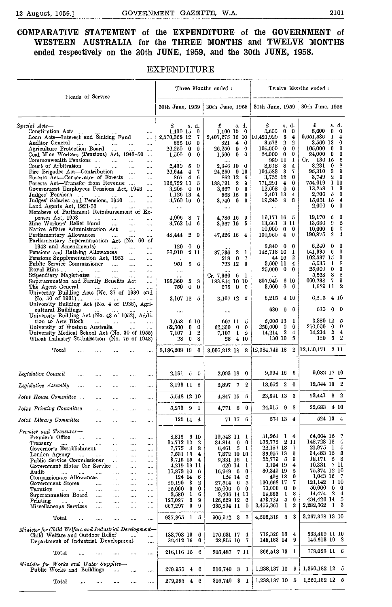#### COMPARATIVE STATEMENT of the EXPENDITURE of the GOVERNMENT of WESTERN AUSTRALIA for the THREE MONTHS and TWELVE MONTHS ended respectively on the 30th JUNE, 1959, and the 30th JUNE, 1958.

#### EXPENDITURE

|                                                                                                                                                                                                                                                                                                                                                                                                                                                                                                                                                                                                                                                                                                                                                                                                                                                                                         |                                                                                                                                                                                                                                                                                        | Three Months ended:                                                                                                                                                                                                                                                 |                                                                                                                                                                                                                                                                                                 | Twelve Months ended:                                                                                                                                                                                                                                                                                                                      |
|-----------------------------------------------------------------------------------------------------------------------------------------------------------------------------------------------------------------------------------------------------------------------------------------------------------------------------------------------------------------------------------------------------------------------------------------------------------------------------------------------------------------------------------------------------------------------------------------------------------------------------------------------------------------------------------------------------------------------------------------------------------------------------------------------------------------------------------------------------------------------------------------|----------------------------------------------------------------------------------------------------------------------------------------------------------------------------------------------------------------------------------------------------------------------------------------|---------------------------------------------------------------------------------------------------------------------------------------------------------------------------------------------------------------------------------------------------------------------|-------------------------------------------------------------------------------------------------------------------------------------------------------------------------------------------------------------------------------------------------------------------------------------------------|-------------------------------------------------------------------------------------------------------------------------------------------------------------------------------------------------------------------------------------------------------------------------------------------------------------------------------------------|
| Heads of Service                                                                                                                                                                                                                                                                                                                                                                                                                                                                                                                                                                                                                                                                                                                                                                                                                                                                        | 30th June, 1959                                                                                                                                                                                                                                                                        | 30th June, 1958                                                                                                                                                                                                                                                     | 30th June, 1959                                                                                                                                                                                                                                                                                 | 30th June, 1958                                                                                                                                                                                                                                                                                                                           |
| Special Acts-<br>Constitution Acts<br>$\cdots$<br>Loan Acts—Interest and Sinking Fund<br>$\cdots$<br>Auditor General<br><b>Continued State</b><br>$\cdots$<br>$\cdots$<br>Agriculture Protection Board<br>$\cdots$<br>$\cdots$<br>$\cdots$<br>Coal Mine Workers (Pensions) Act, 1943-50<br>$\ddotsc$<br>Commonwealth Pensions<br>$\ldots$<br><br>Court of Arbitration<br>$\sim$ . $\sim$<br>$\ddotsc$<br>$\cdots$<br>$\cdots$<br>Fire Brigades Act-Contribution<br>$\ldots$ .<br>$\ldots$<br>Forests Act-Conservator of Forests<br>$\ldots$<br>Forests Act-Transfer from Revenue<br>$\cdots$<br>Government Employees Pensions Act, 1948<br>$\ldots$<br>Judges' Pensions<br>$\cdots$<br>Judges' Salaries and Pensions, 1950<br>$\cdots$<br>$\cdots$<br>Land Agents Act, 1921-53<br>$\ldots$<br><br>Members of Parliament Reimbursement of Ex-                                            | £<br>s. d.<br>1,400 15<br>0<br>2,570,368 12<br>7<br>825 16<br>0<br>26,250 0<br>0<br>- 0<br>1,500<br>0<br>2.439<br>S<br>$\bf{0}$<br>7<br>26,644<br>$\overline{\mathbf{4}}$<br>867 4<br>6<br>192,722 11<br>ō<br>3,208<br>$\mathbf{0}$<br>0<br>1,126 13<br>4<br>3,760 16<br>0<br>$\ldots$ | £<br>s. d.<br>$1,400$ 15 0<br>2,407,275 16 10 10,421,929<br>$4\quad 0$<br>821<br>26,250<br>$0\quad 0$<br>$0 \quad 0$<br>1,500<br>2,046 10 0<br>24,650 9 10<br>862 12 6<br>188.791<br>$\overline{2}$<br>9<br>3,867 0<br>0<br>568 15<br>0<br>3,740 0<br>0<br>$\cdots$ | £<br>s. d.<br>5,600<br>$0\quad 0$<br>8<br>$\bf{4}$<br>2<br>$\overline{2}$<br>3,576<br>$\bf{0}$<br>$105,000 \quad 0$<br>0<br>24,000 0<br>1<br>989 11<br>8,618 8<br>4<br>104,583 3<br>7<br>$\bf{0}$<br>3,755 12<br>771,291 4<br>0<br>$12,608$ 0<br>0<br>2,401 13<br>4<br>$19,243$ 9 8<br>$\ldots$ | £<br>s.d.<br>5,600<br>$\bf{0}$<br>0<br>9,651,536<br>1<br>4<br>3,569 13<br>0<br>$105,000 \quad 0$<br>$\bf{0}$<br>24,000 0<br>0<br>$Cr.$ 136 15<br>6<br>3<br>8,231<br>0<br>3<br>95,310<br>-9<br>3,749<br>$^{2}$<br>-9<br>1 10<br>754.019<br>13,258<br>3<br>1<br>2,706<br>- 5<br>$\bf{0}$<br>15,051 15<br>4<br>2,000<br>$\bf{0}$<br>$\bf{0}$ |
| penses Act, 1953<br>$\sim$ $\sim$ $\sim$<br>$\cdots$<br>$\cdots$<br>$\cdots$<br>Mine Workers' Relief Fund<br>$\ddotsc$<br>$\cdots$<br>$\sim$<br>Native Affairs Administration Act<br>$\cdots$<br><br>Parliamentary Allowances<br>$\cdots$<br>$\cdots$<br><br>Parliamentary Superannuation Act (No. 60 of                                                                                                                                                                                                                                                                                                                                                                                                                                                                                                                                                                                | 7<br>4,996 8<br>3,762 14<br>6<br>$\overline{2}$<br>48,444<br>9                                                                                                                                                                                                                         | 4,786 16 9<br>5<br>3,967 10<br>47,426 16 4                                                                                                                                                                                                                          | 19,171 16 5<br>13,661 3 11<br>$10,000 \quad 0 \quad 0$<br>190,960 4 0                                                                                                                                                                                                                           | 19,170<br>6<br>0<br>13,686<br>9<br>2<br>10,000<br>0<br>0<br>190,875<br>2<br>4                                                                                                                                                                                                                                                             |
| 1948 and Amendments)<br>$\sim$<br><br>Pensions and Retiring Allowances<br>$\cdots$<br>$\cdots$<br>Pensions Supplementation Act, 1953<br>$\ldots$<br>Public Service Commissioner<br>$\cdots$<br><br>Royal Mint $\qquad \ldots$<br>$\mathbf{r}$<br>$\cdots$<br>$\cdots$<br>Stipendiary Magistrates<br>$\cdots$<br>$\cdots$<br>$\ldots$<br>Superannuation and Family Benefits Act<br>$\ldots$<br>The Agent General<br>$\sim$ $\sim$<br>$\sim 100$ km s $^{-1}$                                                                                                                                                                                                                                                                                                                                                                                                                             | $0\quad 0$<br>120<br>33,910<br>2 11<br>951 -<br>$5 -$<br>6<br>$\cdots$<br>$\cdots$<br>188,360<br>2<br>3<br>75000<br>0                                                                                                                                                                  | 37,736 2 1<br>218 0 7<br>793 12 0<br>$\cdots$<br>Cr. 7,360<br>61<br>183,844 10 10<br>67500                                                                                                                                                                          | - 0<br>8,840 0<br>142,716 16 1<br>- 2<br>44 16<br>3,609 11 4<br>$25,000 \quad 0 \quad 0$<br>807,949<br>6 10<br>$0 \quad 0$<br>3,000                                                                                                                                                             | 6,240<br>0<br>$\bf{0}$<br>141,335<br>- 6<br>$\bf{0}$<br>102,537 15<br>0<br>5,935<br>- 1<br>8<br>25,000 0<br>$\bf{0}$<br>8<br>-8<br>5,563<br>7<br>9<br>669,738<br>$1,629$ 11<br>2                                                                                                                                                          |
| University Building Acts (No. 37 of 1930 and<br>No. 50 of 1931)<br><b>Contractor</b><br>University Building Act (No. 4 of 1938), Agri-                                                                                                                                                                                                                                                                                                                                                                                                                                                                                                                                                                                                                                                                                                                                                  | 3,107 12 5                                                                                                                                                                                                                                                                             | 3,107, 12 5                                                                                                                                                                                                                                                         | 6,215<br>-4 10                                                                                                                                                                                                                                                                                  | 6.215<br>4 10                                                                                                                                                                                                                                                                                                                             |
| cultural Buildings<br>University Building Act (No. 43 of 1952), Addi-<br>tion to Arts Block<br>$\cdots$ $\cdots$<br>$\mathbf{1}$<br>$\cdots$<br>University of Western Australia<br>University Medical School Act (No. 30 of 1955)<br>Wheat Industry Stabilisation (No. 75 of 1948)                                                                                                                                                                                                                                                                                                                                                                                                                                                                                                                                                                                                      | $\ldots$<br>1,058<br>610<br>62,500<br>$\mathbf 0$<br>0<br>$\mathbf{1}$<br>$\overline{3}$<br>7,107<br>$28\quad 0$<br>8                                                                                                                                                                  | $\cdots$<br>607 11<br>5<br>62,500<br>$\mathbf{0}$<br>$\bf{0}$<br>$1\quad 2$<br>7,107<br>28 4 10                                                                                                                                                                     | 630<br>$0\quad 0$<br>$5,005$ 13<br>-1<br>250,000 0<br>0<br>$14,214$ 2<br>$\frac{4}{3}$<br>130 10<br>8                                                                                                                                                                                           | 630<br>$0\quad 0$<br>3,380 12<br>-5<br>250,000 0<br>0<br>$14,214$ 2<br>$\overline{4}$<br>$120 \quad 5 \quad 2$                                                                                                                                                                                                                            |
| Total                                                                                                                                                                                                                                                                                                                                                                                                                                                                                                                                                                                                                                                                                                                                                                                                                                                                                   | 3,186,209 19 0                                                                                                                                                                                                                                                                         |                                                                                                                                                                                                                                                                     | 3,007,212 18 8 12,984,745 18 2                                                                                                                                                                                                                                                                  | $ 12,150,171 \t211$                                                                                                                                                                                                                                                                                                                       |
| Legislative Council<br>$\cdots$<br>$\cdots$<br>$\cdots$<br>$\cdots$<br>$\cdots$                                                                                                                                                                                                                                                                                                                                                                                                                                                                                                                                                                                                                                                                                                                                                                                                         | 2,191 5 5                                                                                                                                                                                                                                                                              | 2,093 18 0                                                                                                                                                                                                                                                          | 9,994 16 6                                                                                                                                                                                                                                                                                      | $9.082$ 17 10                                                                                                                                                                                                                                                                                                                             |
| Legislative Assembly<br><br>$\ldots$<br><br>$\cdots$<br>                                                                                                                                                                                                                                                                                                                                                                                                                                                                                                                                                                                                                                                                                                                                                                                                                                | 3,193 11 8                                                                                                                                                                                                                                                                             | 2,897 7<br>-2                                                                                                                                                                                                                                                       | $13,052$ 2 0                                                                                                                                                                                                                                                                                    | $12,544$ 10 2                                                                                                                                                                                                                                                                                                                             |
| Joint House Committee<br>$\cdots$<br>$\cdots$<br>$\cdots$<br>$\cdots$                                                                                                                                                                                                                                                                                                                                                                                                                                                                                                                                                                                                                                                                                                                                                                                                                   | 5,548 12 10                                                                                                                                                                                                                                                                            | 4,847 15 5                                                                                                                                                                                                                                                          | 23,841 13 3                                                                                                                                                                                                                                                                                     | 23,441 9 2                                                                                                                                                                                                                                                                                                                                |
| Joint Printing Committee<br>$\cdots$<br>$\cdots$                                                                                                                                                                                                                                                                                                                                                                                                                                                                                                                                                                                                                                                                                                                                                                                                                                        | 5,273<br>$\boldsymbol{9}$<br>$\mathbf{1}$                                                                                                                                                                                                                                              | 4,771<br>8<br>$\mathbf{0}$                                                                                                                                                                                                                                          | 24,915 9 8                                                                                                                                                                                                                                                                                      | 22,683<br>4 10                                                                                                                                                                                                                                                                                                                            |
| Joint Library Committee<br>$\cdots$<br>$\ldots$<br>$\cdots$<br>                                                                                                                                                                                                                                                                                                                                                                                                                                                                                                                                                                                                                                                                                                                                                                                                                         | $125 \t14 \t4$                                                                                                                                                                                                                                                                         | 71 17 6                                                                                                                                                                                                                                                             | 574 13 4                                                                                                                                                                                                                                                                                        | 524 13 4                                                                                                                                                                                                                                                                                                                                  |
| Premier and Treasurer-<br>Premier's Office<br>$\ddotsc$<br>$\dots$<br>$\cdots$<br>$\sim 100$<br>$\ldots$<br>Treasury<br>$\cdots$<br>$\ldots$<br>$\ldots$ .<br>$\ldots$<br>$\cdots$<br>$\cdots$<br>Governor's Establishment<br>$\ddotsc$<br>$\ldots$<br>$\ldots$<br>London Agency<br>$\ldots$<br>$\mathbf{r}$<br>$\cdots$<br>$\ldots$<br>$\cdots$<br>Public Service Commissioner<br>$\bar{a}_{\rm{max}}$<br>$\ldots$<br>$\cdots$<br>Government Motor Car Service<br>$\ldots$<br>$\mathbf{A}$<br>Audit<br>$\cdots$<br>$\mathbf{r}_{\text{max}}$<br>$\bar{a}$ , $\bar{a}$<br>$\ldots$<br>$\mathbf{r}$<br>$\ldots$<br>Compassionate Allowances<br>$\ddotsc$<br>$\ddotsc$<br>$\cdots$<br>Government Stores<br>$\cdots$<br>$\cdots$<br>$\ddotsc$<br>$\cdots$<br>Taxation<br>$\ldots$<br>$\cdots$<br><br>$\cdots$<br><br>Superannuation Board<br>$\cdots$<br>$\ddotsc$<br>$\cdots$<br>$\cdots$ | 8,816 6 10<br>35,712 12<br>- 2<br>7,775 8 8<br>7,531 18<br>$\overline{4}$<br>3,715 15 4<br>4,219 19 11<br>17,873 10<br>- 6<br>124 14<br>6<br>29,190 3<br>$\boldsymbol{2}$<br>25,000 0<br>$\bf{0}$<br>$3,580$ 1<br>6                                                                    | $19,543$ 11 1<br>$\bf{0}$<br>34,814 0<br>$6,461$ 5 1<br>7,872 10 10<br>2,331 16<br>$\mathbf{l}$<br>429 14<br>-1<br>$\bf{0}$<br>$16,949$ 6<br>124 14<br>6<br>27,514 6<br>ō<br>$25,000 \quad 0$<br>0<br>3,406 14 11                                                   | 51,964 1 4<br>156,778 2 11<br>22,157 18<br>-7<br>36,957 13<br>9<br>22,779 5<br>9<br>9,194 19<br>4<br>5<br>80,349 19<br>0<br>498 18<br>7<br>130,668 17<br>$50,000 \quad 0$<br>0<br>18<br>14,883                                                                                                  | 54,664 15<br>7<br>148,728 18<br>4<br>21,975 1 5<br>34,483 15<br>8<br>18,171<br>58<br>10,331 7 11<br>75,374 12 10<br>1,043 16 7<br>121,142<br><b>1 10</b><br>50,000<br>$\bf{0}$<br>$\bf{0}$<br>14,474 2<br>4                                                                                                                               |
| $\rm Printing$<br>$\ldots$ . $\ldots$<br>$\cdots$<br>$\cdots$<br><br>$\cdots$<br>Miscellaneous Services<br>$\cdots$<br>$\cdots$<br><br>                                                                                                                                                                                                                                                                                                                                                                                                                                                                                                                                                                                                                                                                                                                                                 | - 9<br>127,027<br>9<br>667,297 0<br>9                                                                                                                                                                                                                                                  | -6<br>126,629 12<br>635,894 11<br>-9                                                                                                                                                                                                                                | 473,724<br>ö.<br>9<br>3,455,361<br>$\mathbf{1}$<br>2                                                                                                                                                                                                                                            | 434,426 14<br>5<br>2,282,562<br>$\mathbf{1}$<br>3                                                                                                                                                                                                                                                                                         |
| Total<br><br>$\cdots$<br>$\cdots$<br>$\ddotsc$<br>$\cdots$                                                                                                                                                                                                                                                                                                                                                                                                                                                                                                                                                                                                                                                                                                                                                                                                                              | 937,865 1 5                                                                                                                                                                                                                                                                            | 906,972 3 3                                                                                                                                                                                                                                                         | 4,505,318 5 3                                                                                                                                                                                                                                                                                   | 3,267,378 13 10                                                                                                                                                                                                                                                                                                                           |
| Minister for Child Welfare and Industrial Development-<br>Child Welfare and Outdoor Relief<br>$\mathbf{r}$<br>$\cdots$<br>Department of Industrial Development<br>$\ddotsc$                                                                                                                                                                                                                                                                                                                                                                                                                                                                                                                                                                                                                                                                                                             | 183,703 19 6<br>32,412 16 0                                                                                                                                                                                                                                                            | 176,631 17 4<br>28,855 10<br>7                                                                                                                                                                                                                                      | 718,329 18 4<br>148,183 14 9                                                                                                                                                                                                                                                                    | 633,409 11 10<br>145,613 19 8                                                                                                                                                                                                                                                                                                             |
| Total<br><br>$\cdots$<br>$\cdots$<br>                                                                                                                                                                                                                                                                                                                                                                                                                                                                                                                                                                                                                                                                                                                                                                                                                                                   | 216,116 15 6                                                                                                                                                                                                                                                                           | 205,487 7 11                                                                                                                                                                                                                                                        | 866,513 13 1                                                                                                                                                                                                                                                                                    | 779,023 11 6                                                                                                                                                                                                                                                                                                                              |
| Minister for Works and Water Supplies-<br>Public Works and Buildings<br>$\cdots$<br>                                                                                                                                                                                                                                                                                                                                                                                                                                                                                                                                                                                                                                                                                                                                                                                                    | 279,955 4<br>- 6                                                                                                                                                                                                                                                                       | 316,740 3 1                                                                                                                                                                                                                                                         | 1,238,137 19 5                                                                                                                                                                                                                                                                                  | 1,250,182 12 5                                                                                                                                                                                                                                                                                                                            |
| Total<br>aaan.<br>$\ldots$<br>$\ldots$<br><br>                                                                                                                                                                                                                                                                                                                                                                                                                                                                                                                                                                                                                                                                                                                                                                                                                                          | 279,955 4 6                                                                                                                                                                                                                                                                            | 316,740 3 1                                                                                                                                                                                                                                                         | $1,238,137$ 19 5                                                                                                                                                                                                                                                                                | 1,250,182 12 5                                                                                                                                                                                                                                                                                                                            |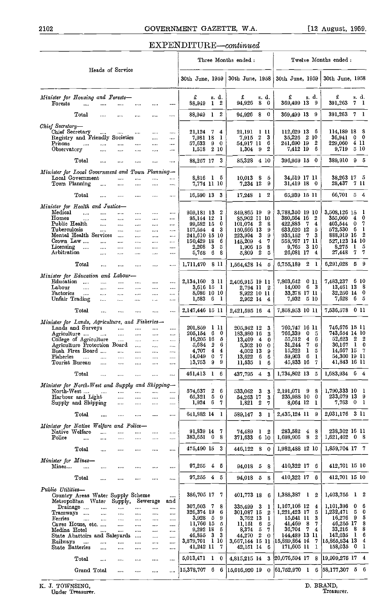#### $EXPENDITURE—continued$

|                                                  |                                                  |                      |                      |                      |                      |                      |                          |                |                  | Three Months ended:                             |                                         | Twelve Months ended :                          |
|--------------------------------------------------|--------------------------------------------------|----------------------|----------------------|----------------------|----------------------|----------------------|--------------------------|----------------|------------------|-------------------------------------------------|-----------------------------------------|------------------------------------------------|
|                                                  |                                                  |                      | Heads of Service     |                      |                      |                      | 30th June, 1959          |                |                  | 30th June, 1958                                 | 30th June, 1959                         | 30th June, 1958                                |
| Minister for Housing and Forests-                |                                                  |                      |                      |                      |                      |                      | £                        |                | s. d.            | £<br>s. d.                                      | £<br>s.d.                               | £<br>s. d.                                     |
| Forests                                          |                                                  |                      |                      |                      |                      |                      | 88,949                   | 1              | 2                | 94,926<br>8<br>0                                | 369,499 13<br>9                         | 391,263<br>7 1                                 |
|                                                  | Total                                            |                      | $\cdots$             |                      | $\cdots$             |                      | 88,949                   | 1 2            |                  | 80<br>94,926                                    | 369,499 13 9                            | 391,263 7 1                                    |
| Chief Secretary-<br>Chief Secretary              |                                                  |                      |                      | $\cdots$             | $\cdots$             |                      | 21,124 7 4               |                |                  | 21,191<br>-1 11                                 | 112,629 13<br>6                         | - 8<br>114,189 18                              |
|                                                  | Registry and Friendly Societies                  | $\cdots$             | $\cdots$             |                      |                      | $\cdots$             | 7.981 18                 |                | $\mathbf{I}$     | $\mathbf{2}$<br>-3<br>7,915                     | 2 10<br>35.226                          | $0\quad 0$<br>36,941                           |
| Prisons<br>Observatory                           | $\cdots$                                         |                      |                      |                      |                      | $\cdots$             | 57,633                   |                | 90               | 6<br>54,917 11<br>2<br>- 9                      | 2<br>241,690 19<br>7,412 19<br>6        | 411<br>229,060<br>-5-10<br>9,719               |
|                                                  |                                                  |                      |                      |                      |                      |                      | 1,518 2 10               |                |                  | 1,304                                           |                                         |                                                |
|                                                  | Total                                            |                      | $\cdots$             |                      |                      |                      | 88,257 17                |                | 3                | 85,328<br>4 10                                  | 0<br>396,959 15                         | 389,910 9 5                                    |
| Minister for Local Government and Town Planning- |                                                  |                      |                      |                      |                      |                      |                          |                |                  |                                                 |                                         |                                                |
| Town Planning                                    | Local Government                                 |                      |                      | <br>                 |                      | <br>                 | 8,816 1 5<br>7,774 11 10 |                |                  | 10,013 8<br>5<br>7,234 12<br>9                  | 34,519 17 11<br>31,419 18 0             | 38,263 17 5<br>28,437 7 11                     |
|                                                  | Total                                            | $\cdots$             |                      | $\cdots$             |                      |                      | 16,590 13 3              |                |                  | $17,248$ 1 2                                    | 65,939 l5 ll                            | 66,701 5 4                                     |
|                                                  |                                                  |                      |                      |                      |                      |                      |                          |                |                  |                                                 |                                         |                                                |
| Minister for Health and Justice-<br>Medical      |                                                  |                      | $\cdots$             |                      |                      | $\cdots$             | 959,181 13               |                | 2                | 849,865 19<br>- 9                               | 3,788,350 19 10                         | 3,508,126 15<br>- 1                            |
| $H$ omes                                         | $\ddotsc$                                        |                      | $\cdots$             |                      | $\cdots$             |                      | 95.144 12                |                | 1                | 85,902 11 10                                    | 2<br>380,564 16                         | 0<br>355,060<br>$\mathbf{4}$                   |
| Public Health<br>Tuberculosis                    |                                                  | $\cdots$<br>$\cdots$ | $\cdots$             | $\cdots$             | $\cdots$             | $\cdots$<br>$\cdots$ | 99,582 15<br>157,554     | $\overline{4}$ | 0<br>3           | $\mathbf{2}$<br>8<br>101,074<br>150,666 13<br>9 | 422,885<br>-7<br>4<br>633,620 12<br>5   | 403.544<br>0<br>7<br>572,530<br>6<br>1         |
|                                                  | Mental Health Services                           |                      | $\cdots$<br>$\ldots$ | $\cdots$<br>$\cdots$ | $\cdots$<br>         | $\cdots$             | 241,610 15 10            |                |                  | 3<br>9<br>223,994                               | 3<br>-7<br>935,152                      | 2<br>888,919 16                                |
| Crown Law                                        |                                                  |                      | $\cdots$             | $\cdots$             |                      | $\cdots$             | 150,429 18               |                | 6                | 4<br>7<br>145,209                               | 558,767 17 11                           | 527,123 14 10                                  |
| Licensing<br>Arbitration                         | $\sim$ $\sim$                                    | <br>$\cdots$         | $\cdots$<br>$\cdots$ | <br>$\cdots$         | $\cdots$<br>         | <br>                 | 2.208<br>5,758           | 3<br>6         | 5<br>8           | 8<br>1,906 15<br>5,809 2<br>5                   | 3 10<br>9,765<br>26,081 17 4            | 8,275<br>$\mathbf{I}$<br>5<br>7<br>7<br>27,448 |
|                                                  | Total                                            |                      | $\cdots$             |                      |                      |                      | 1,711,470 8 11           |                |                  | 1,564,428 14 5                                  | 6,755,189 2<br>$\mathbf{1}$             | 6.291.028<br>59                                |
| Minister for Education and Labour-               |                                                  |                      |                      |                      |                      |                      |                          |                |                  |                                                 |                                         |                                                |
| Education                                        | $\cdots$                                         |                      |                      |                      | $\cdots$             | $\cdots$             | 2,134,160 3 11           |                |                  | 2,406,915 19 11                                 | 7,803,642<br>0 11                       | 7,483,237<br>6 10                              |
| Labour                                           | $\cdots$                                         | $\cdots$             |                      |                      | $\cdots$             | $\cdots$             | 3,616 15 1               |                |                  | 2,794 II 2                                      | 6 <sub>3</sub><br>14,000                | 13,461 13 8                                    |
| Factories<br>Unfair Trading                      | $\sim$ $\sim$                                    | $\cdots$<br>$\cdots$ | $\cdots$<br>$\cdots$ | <br>$\cdots$         |                      | <br>                 | 8,086 10 10<br>1,583 6 1 |                |                  | 8,922 10 11<br>2,962 14 4                       | 33.378 17 11<br>7.932<br>5 10           | 32,250 14 0<br>7,628<br>5<br>-6.               |
|                                                  | $\operatorname{\mathsf{Total}}$                  |                      | $\cdots$             |                      |                      |                      | 2,147,446 15 11          |                |                  | 2,421,595 16<br>4                               | 7,858,953 10 11                         | 7,536,578 0 11                                 |
|                                                  |                                                  |                      |                      |                      |                      |                      |                          |                |                  |                                                 |                                         |                                                |
| Minister for Lands, Agriculture, and Fisheries-  | Lands and Surveys                                |                      | $\cdots$             |                      |                      |                      | 201,859                  |                | 1 H              | 205,942 12<br>3                                 | 760,747 16 11                           | 746,676 15 11                                  |
| Agriculture                                      |                                                  | $\cdots$             |                      | $\cdots$             |                      | $\cdots$             | 205.154                  | 6              | 0                | 183,980 16<br>3                                 | 766,339<br>0<br>-5                      | 743,654 14 10                                  |
|                                                  | College of Agriculture                           |                      | $\ldots$             |                      | $\cdots$             |                      | 16,205 16                |                | 5<br>6           | 13,409<br>$\overline{4}$<br>0                   | $\boldsymbol{4}$<br>55,512<br>6<br>-7   | $52,623$ 2 2<br>30,167 1<br>-0                 |
|                                                  | Agriculture Protection Board<br>Bush Fires Board |                      | and a                | $\cdots$<br>$\cdots$ | $\cdots$<br>$\cdots$ | $\cdots$<br>         | 5,684<br>4.707           | 2<br>4         | 4                | 5,302 10<br>0<br>4,002 13<br>9                  | 31,244<br>6<br>15,222<br>1<br>5         | 14,667 15 7                                    |
| Fisheries                                        | $\cdots$                                         | $\cdots$             |                      |                      |                      |                      | 14.049                   | 0              | 7                | 13,622<br>6<br>6                                | 6<br>59,903<br>1                        | 54,300 19 11                                   |
| Tourist Bureau                                   |                                                  | $\cdots$             |                      |                      | $\cdots$             | $\cdots$             | 13,753                   | 9              | 9                | 11,535<br>$\bf{l}$<br>6                         | 45,833 16<br>7                          | 41,843 16 11                                   |
|                                                  | Total                                            |                      |                      |                      |                      | .                    | 461,413 1                |                | 6                | $437,795 \quad 4 \quad 3$                       | 1,734,802 13 5                          | 1,683,934<br>6<br>4                            |
| Minister for North West and Supply and Shipping- |                                                  |                      |                      |                      |                      |                      |                          |                |                  |                                                 |                                         |                                                |
| North-West                                       | Harbour and Light                                | $\cdots$             | $\cdots$<br>         | <br>                 | <br>                 | <br>                 | 574,637<br>65,321        | 2<br>5         | 6<br>$\mathbf 0$ | 533,062<br>- 3<br>-3<br>54,263 17<br>3          | 2,191,071 9<br>8<br>235,988 10<br>0     | 1,790,333 10 1<br>233,079 13 9                 |
|                                                  | Supply and Shipping                              |                      | $\cdots$             |                      | $\cdots$             | .                    | 1,924                    | 6              | 7                | $1,821$ 2<br>7                                  | 8,064 12<br>-1                          | 7,763 0 1                                      |
|                                                  | Total                                            |                      |                      |                      | $\cdots$             |                      | 641.882 14 1             |                |                  | 589,147 3 1                                     | 2,435,124 11 9                          | 2,031,176 3 11                                 |
| Minister for Native Welfare and Police-          |                                                  |                      |                      |                      |                      |                      |                          |                |                  |                                                 |                                         |                                                |
| Native Welfare                                   |                                                  |                      |                      |                      |                      |                      | 91,839 14                |                | 7                | 74,489<br>12                                    | 283,582<br>8<br>4                       | 238,302 16 11                                  |
| Police                                           | $\cdots$                                         |                      |                      |                      |                      |                      | 383,651 0                |                | 8                | 371,633 6 10                                    | 8<br>2<br>1,698,906                     | $1,621,402$ 0 8                                |
|                                                  | $_{\rm Total}$                                   | $\cdots$             |                      |                      |                      |                      | 475,490 15 3             |                |                  | 446,122 8 0                                     | 1,982,488 12 10                         | 1,859,704 17 7                                 |
| Minister for Mines-                              |                                                  |                      |                      |                      |                      |                      |                          |                |                  |                                                 |                                         |                                                |
| Mines                                            |                                                  | $\cdots$             |                      |                      |                      | $\cdots$             | $97,255 \quad 4 \quad 5$ |                |                  | 94,018 5 8                                      | 410,322 17 6                            | 412,701 15 10                                  |
|                                                  | Total                                            |                      |                      |                      |                      | $\cdots$             | 97,255 4 5               |                |                  | 94,018 5 8                                      | 410,322 17<br>6                         | 412,701 15 10                                  |
| Public Utilities-                                |                                                  |                      |                      |                      |                      |                      |                          |                |                  |                                                 |                                         |                                                |
|                                                  | Country Areas Water Supply Scheme                |                      |                      |                      |                      | $\cdots$             | 386,705 17               |                | -7               | 401,773 18<br>6                                 | 1,388,387<br>$\mathbf{I}$<br>2          | 1,403,755<br>$1\quad 2$                        |
|                                                  | Metropolitan Water<br>Drainage                   |                      | Supply,              |                      | bewerage             | and                  | 307.603 7                |                | 8                | 335,499 3<br>- 1                                | 1,167,108 12<br>4                       | 1,101,396<br>6<br>0                            |
| Tramways                                         |                                                  | $\cdots$             | <br>                 | <br>$\cdots$         | <br>                 | <br>                 | 326,374 19               |                | 6                | 301,087 15<br>2                                 | 1,221,423 17<br>5                       | 1,232,471<br>0<br>5.                           |
| Ferries                                          | $\cdots$                                         |                      |                      | $\cdots$             |                      | $\cdots$             | $3,928$ 5                |                | 9                | 3,762 13<br>1                                   | 3<br>15,541 11                          | 5<br>9<br>16,276                               |
|                                                  | Caves House, etc.                                |                      |                      |                      | $\cdots$             | $\cdots$             | 11,766 15<br>9,292 18    |                | 5<br>5           | $11,151$ 6<br>5<br>8,374<br>- 5<br>7            | 41,469<br>-8<br>7.<br>36.704<br>-7<br>4 | 8<br>46,255 17<br>8<br>33,216<br>8             |
| Medina Hotel                                     | State Abattoirs and Saleyards                    |                      |                      | <br>$\cdots$         | $\cdots$<br>$\cdots$ | $\cdots$<br>$\cdots$ | 46.855                   | 3              | -3               | - 2<br>44,270<br>0                              | 144,489 13 11                           | $\mathbf{I}$<br>6<br>142,035                   |
| Railways                                         | $\sim$                                           | .                    |                      |                      |                      |                      | 3,879,701                | 1 10           |                  | 3,667,144 15 11                                 | 15,889,864 14<br>7                      | 15,865,834 13<br>4                             |
| State Batteries                                  |                                                  |                      | $\cdots$             |                      | $\cdots$             | $\cdots$             | 41,242 11 7              |                |                  | 42,151 14<br>- 6                                | 171,605 11<br>1                         | 158,035 0 1                                    |
|                                                  | $_{\rm Total}$                                   | $\cdots$             |                      |                      |                      |                      | 5,013,471 1 0            |                |                  | 4,815,215 14 3                                  | 20,076,594 17<br>8                      | 19,999,275 17 4                                |
|                                                  | Grand Total                                      |                      |                      |                      |                      |                      | 15,378,707 6             |                | -6               | $[15,016,920]$ 19<br>$\mathbf{0}$               | $ 61,752,970 \quad 1$<br>6              | $ 58,177,307 \t5 \t6$                          |
|                                                  |                                                  |                      |                      |                      |                      |                      |                          |                |                  |                                                 |                                         |                                                |

K. J. TOWNSING,<br>Under Treasurer.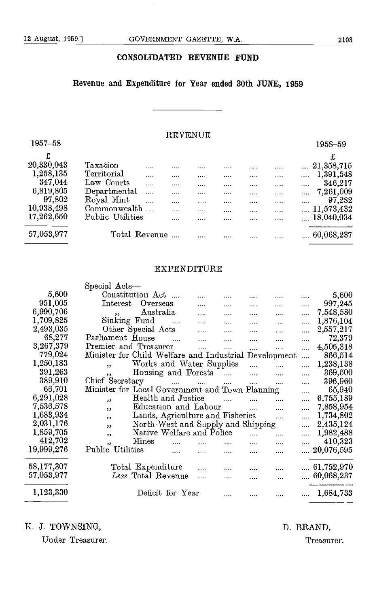#### CONSOLIDATED REVENUE FUND

## Revenue and Expenditure for Year ended 30th JUNE, 1959

#### REVENUE

| $1957 - 58$ |                  |                      | ************* |          |   |   |          | 1958-59                   |
|-------------|------------------|----------------------|---------------|----------|---|---|----------|---------------------------|
| £           |                  |                      |               |          |   |   |          | £                         |
| 20,330,043  | Taxation         | 1.1.1                |               |          | . | . |          | 21,358,715                |
| 1,258,135   | Territorial      | $- - - -$            |               |          |   |   |          | 1,391,548<br>.            |
| 347,044     | Law Courts       |                      |               | $\cdots$ |   | . | 1.1.1.1  | 346,217<br>$\cdots$       |
| 6,819,805   | Departmental     | $\sim$ $\sim$ $\sim$ |               | $\cdots$ |   | . | $\cdots$ | 7,261,009<br>$\cdots$     |
| 97,802      | Royal Mint       | $\cdots$             |               |          |   |   |          | 97,282<br>                |
| 10,938,498  | Commonwealth     |                      |               |          | . |   | $\cdots$ | 11,573,432<br><b>COLL</b> |
| 17,262,650  | Public Utilities |                      |               |          |   | . |          | $\dots$ 18,040,034        |
| 57,053,977  | Total Revenue    |                      |               |          | . | . |          | 60,068,237                |

#### EXPENDITURE

|            | Special Acts-                                                                       |          |                    |
|------------|-------------------------------------------------------------------------------------|----------|--------------------|
| 5,600      | Constitution Act<br>$\cdots$<br>.                                                   | .        | 5,600              |
| 951,005    | Interest-Overseas<br>.<br>.<br><br>$\cdots$                                         | $\cdots$ | 997,245            |
| 6,990,706  | Australia<br>$\overline{\phantom{a}}$<br>.<br>$\cdots$                              | .        | 7,548,580          |
| 1,709,825  | Sinking Fund<br>.<br><br>.                                                          | .        | 1,876,104          |
| 2,493,035  | Other Special Acts<br>.<br>.                                                        | .        | 2,557,217          |
| 68,277     | Parliament House<br>.<br>.                                                          | $\cdots$ | 72,379             |
| 3,267,379  | Premier and Treasurer<br><br>$\cdots$<br>.                                          |          | 4,505,318          |
| 779,024    | Minister for Child Welfare and Industrial Development                               | .        | 866,514            |
| 1,250,183  | Works and Water Supplies<br>$\cdots$<br>$\overline{\mathbf{z}}$<br>$\cdots$         | $\cdots$ | 1,238,138          |
| 391,263    | Housing and Forests<br>$\cdots$<br>$\cdots$<br>, ,                                  | .        | 369,500            |
| 389,910    | Chief Secretary<br>$\cdots$<br><b>Service</b><br>$\sim 100$<br>$\cdots$<br>$\cdots$ | .        | 396,960            |
| 66,701     | Minister for Local Government and Town Planning                                     | $\cdots$ | 65,940             |
| 6,291,028  | Health and Justice<br>$\cdots$<br>$\overline{\phantom{a}}$                          | .        | 6,755,189          |
| 7,536,578  | Education and Labour<br>$\cdots$<br>, 2                                             | .        | 7,858,954          |
| 1,683,934  | Lands, Agriculture and Fisheries<br>, 1                                             | $\cdots$ | 1,734,802          |
| 2,031,176  | North-West and Supply and Shipping<br>,                                             | .        | 2,435,124          |
| 1,859,705  | Native Welfare and Police<br>$\overline{\phantom{a}}$                               | .        | 1,982,488          |
| 412,702    | Mines<br>.<br>,                                                                     | $\cdots$ | 410,323            |
| 19,999,276 | Public Utilities<br>$\cdots$<br>.<br><br>                                           |          | $\dots 20,076,595$ |
|            |                                                                                     |          |                    |
| 58,177,307 | Total Expenditure                                                                   |          | $\dots 61,752,970$ |
| 57,053,977 | Less Total Revenue                                                                  |          | 60,068,237         |
| 1,123,330  | Deficit for Year                                                                    |          | 1,684,733          |

K. J. TOWNSING, D. BRAND,

Under Treasurer. Treasurer.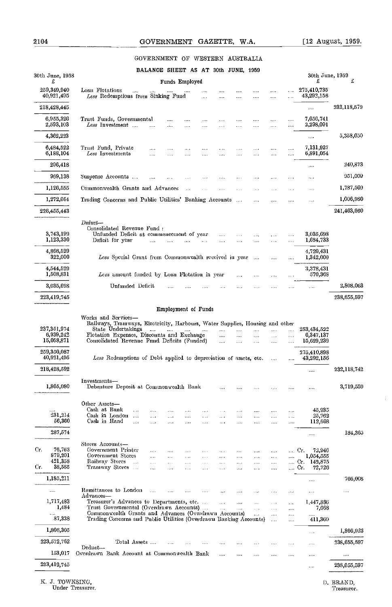#### GOVERNMENT OF WESTERN AUSTRALIA

| 30th June, 1958           | BALANCE SHEET AS AT 30th JUNE, 1959<br>30th June, 1959                                                                                                                                                                                                                                                           |                         |
|---------------------------|------------------------------------------------------------------------------------------------------------------------------------------------------------------------------------------------------------------------------------------------------------------------------------------------------------------|-------------------------|
| £                         | Funds Employed                                                                                                                                                                                                                                                                                                   | £                       |
| 259,349,940<br>40,921,495 | Loan Flotations<br>275,410,735<br>$\cdots$<br>$\cdots$<br>$\cdots$<br>$\cdots$<br>$\cdots$<br>$\cdots$<br>Less Redemptions from Sinking Fund<br>43,292,156<br>$\mathbf{r}$<br>$\cdots$<br>$\cdots$<br>$\cdots$<br>.<br>$\cdots$                                                                                  |                         |
| 218,428,445               |                                                                                                                                                                                                                                                                                                                  | 232,118,579             |
| 6,955,326<br>2,593,103    | 7,656,741<br>Trust Funds, Governmental<br><br>$\ldots$ .<br>$\cdots$<br>.<br>$\ldots$<br>$\cdots$<br>$\cdots$<br>Less Investment<br>2,298,091<br>$\cdots$<br>$\cdots$<br>$\mathbf{r}$<br><br>$\cdots$<br>$\ldots$<br>$\cdots$<br><br>$\cdots$                                                                    |                         |
| 4,362,223                 |                                                                                                                                                                                                                                                                                                                  | 5,358,650               |
| 6,484,522<br>6,188,104    | 7,131,927<br>Trust Fund, Private<br>$\ldots$<br>$\cdots$<br>$\cdots$<br>$\cdots$<br>$\cdots$<br>$\cdots$<br>$\cdots$<br>$\cdots$<br>$\cdots$<br>Less Investments<br>6,891,054<br>$\cdots$<br><br><br><br>.<br>$\ldots$<br><br><br>$\cdots$                                                                       |                         |
| 296,418                   | $\ldots$                                                                                                                                                                                                                                                                                                         | 240,873                 |
| 969,138                   | Suspense Accounts<br>$\overline{a}$<br>$\mathcal{L}_{\mathbf{t}}$ .<br>$\sim$<br>$\cdots$<br>$\mathbf{1}$<br>$\ldots$<br>$\cdots$<br>$\ldots$<br>$\cdots$<br>$\cdots$                                                                                                                                            | 951,009                 |
| 1,126,555                 | Commonwealth Grants and Advances<br>$\sim$<br>$\mathcal{L}^{\pm}$ and<br>$\sim$<br>$\cdots$<br>$\frac{1}{2}$<br>$\ldots$<br>$\cdots$<br>$\cdots$                                                                                                                                                                 | 1,787,569               |
| 1,272,664                 | Trading Concerns and Public Utilities' Banking Accounts<br>$\cdots$<br>$\cdots$<br>$\cdots$<br>$\cdots$                                                                                                                                                                                                          | 1,006,980               |
| 226,455,443               |                                                                                                                                                                                                                                                                                                                  | 241,463,660             |
|                           | Deduct-                                                                                                                                                                                                                                                                                                          |                         |
| 3,743,199<br>1,123,330    | Consolidated Revenue Fund:<br>Unfunded Deficit at commencement of year<br>3,035,698<br>$\ldots$ .<br>$\mathbf{z}$ . $\mathbf{z}$<br>$\cdots$<br>$\cdots$<br>$\cdots$<br>1,684,733<br>Deficit for year<br>.<br>$\cdots$<br>$\cdots$<br>$\mathbf{r}$<br>$\sim 100$<br>$\cdots$<br>$\cdots$<br>$\cdots$<br>$\cdots$ |                         |
| 4,866,529<br>322,000      | 4.720.431<br>Less Special Grant from Commonwealth received in year<br>1,342,000<br>$\cdots$<br>$\cdots$                                                                                                                                                                                                          |                         |
| 4,544,529<br>1,508,831    | 3,378,431<br>Less amount funded by Loan Flotation in year<br>570,368<br>$\cdots$<br>$\ldots$<br>$\cdots$<br>                                                                                                                                                                                                     |                         |
| 3,035,698                 | Unfunded Deficit<br>$\cdots$<br>$\sim$<br>.<br>$\ddotsc$<br>$\cdots$<br>e e die                                                                                                                                                                                                                                  | 2,808,063               |
| 223,419,745               |                                                                                                                                                                                                                                                                                                                  | 238,655.597             |
| 6,939,242<br>15,058,871   | Flotation Expenses, Discounts and Exchange<br>6,347,137<br>in.<br>$\cdots$<br>$\cdots$<br>.<br>$\cdots$<br>Consolidated Revenue Fund Deficits (Funded)<br>15,629,239<br>$\ldots$<br>$\cdots$<br>$\ldots$<br>$\cdots$<br>$\cdots$                                                                                 |                         |
|                           |                                                                                                                                                                                                                                                                                                                  |                         |
| 259,350,087<br>40,921,495 | 275,410,898<br>Less Redemptions of Debt applied to depreciation of assets, etc.<br>43,292,156<br>$\ddotsc$<br>$\cdots$                                                                                                                                                                                           |                         |
| 218,428,592               | $\cdots$                                                                                                                                                                                                                                                                                                         | 232,118.742             |
| 1,865,080                 | Investments-<br>Debenture Deposit at Commonwealth Bank<br>$\mathbf{r}$ , $\mathbf{r}$ ,<br>$\cdots$<br>$\cdots$<br>$\cdots$<br>$\cdots$<br>$\cdots$                                                                                                                                                              | 3,719,559               |
|                           | Other Assets-                                                                                                                                                                                                                                                                                                    |                         |
| 231,214                   | Cash at Bank<br>45,935<br>$\cdots$<br>$\cdots$<br>$\cdots$<br>$\cdots$<br>$\cdots$<br>$\cdots$<br>$\cdots$<br>$\cdots$<br>$\cdots$<br>$\cdots$<br>Cash in London<br>25,762<br>$\sim$ and $\sim$<br>$\cdots$<br><br>$\cdots$<br><br><br>$\ddotsc$<br><br><br>$\cdots$                                             |                         |
| 56,360                    | Cash in Hand<br>112,668<br>$\ddotsc$<br>$\ldots$<br>$\cdots$<br>$\cdots$<br>.<br>$\cdots$<br>$\cdots$<br>$\cdots$<br>$\cdots$<br>1.11                                                                                                                                                                            |                         |
| 287,574                   |                                                                                                                                                                                                                                                                                                                  | 184,365                 |
| 76,763                    | Stores Accounts-<br>Government Printer<br>72,946<br>Cr.<br>$\cdots$<br>$\cdots$<br>$\sim$ $\sim$ $\sim$<br>$\cdots$<br>$\sim$<br>$\cdots$<br>.<br>$\cdots$                                                                                                                                                       |                         |
| 879,201<br>421,358        | Government Stores<br>1,054,555<br>$\cdots$<br>$\cdots$<br>.<br>.<br>.<br>$\cdots$<br>Railway Stores<br>Cr. 142,875<br>$\sim$<br>.<br><br>$\cdots$<br>$\ldots$<br><br>$\cdots$<br>$\cdots$<br>$\ldots$<br>$\ldots$<br>$\cdots$                                                                                    |                         |
| 38,585                    | Tramway Stores<br>Cr.<br>72,726<br>$\ddotsc$<br>$\cdots$<br><br>$\cdots$<br>$\cdots$<br>$\cdots$<br>$\cdots$<br>$\ldots$                                                                                                                                                                                         |                         |
| 1,185,211                 | $\cdots$                                                                                                                                                                                                                                                                                                         | 766,008                 |
|                           | Remittances to London<br>$\cdots$<br>222<br>$\cdots$<br>$\cdots$<br>$\cdots$<br>$\ddotsc$<br>$\ddotsc$                                                                                                                                                                                                           | .                       |
| 1,717,483                 | Advances-<br>Treasurer's Advances to Departments, etc.<br>1.447,886<br>$\mathbf{r}$<br>$\ldots$<br>$\mathbf{1}$<br>$\cdots$<br>$\ldots$                                                                                                                                                                          |                         |
| 1,484<br>$\cdots$         | Trust Governmental (Overdrawn Accounts)<br>$\sim$<br>7,668<br>$\sim$<br>$\ldots$<br>$\cdots$<br>$\cdots$<br>Commonwealth Grants and Advances (Overdrawn Accounts)<br>$\cdots$<br>$\cdots$<br>$\cdots$<br>$\cdots$                                                                                                |                         |
| 87,338                    | Trading Concerns and Public Utilities (Overdrawn Banking Accounts)<br>411,369<br>$\ddotsc$<br>$\cdots$                                                                                                                                                                                                           |                         |
| Cr.<br>Gr.<br>1,806,305   | $\cdots$                                                                                                                                                                                                                                                                                                         | 1,866,923               |
| 223,572,762               | Total Assets<br>$\cdots$<br>.<br>.<br>Deduct-                                                                                                                                                                                                                                                                    | 238,655.597             |
| 153,017<br>223,419,745    | Overdrawn Bank Account at Commonwealth Bank<br>$\cdots$<br>$\cdots$<br>.<br>$\cdots$<br>$\ldots$                                                                                                                                                                                                                 | $\cdots$<br>238,655,597 |

K. J. TOWNSING, Under Treasurer.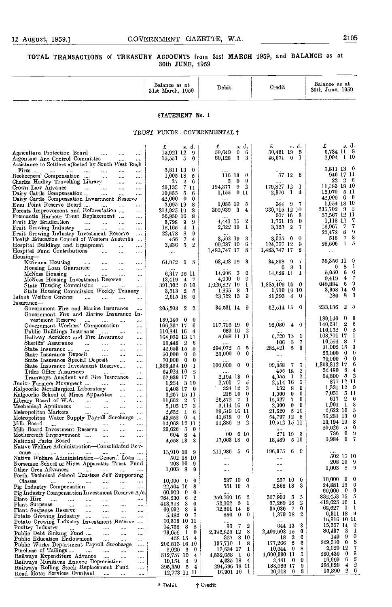$\overline{\phantom{a}}$ 

#### TOTAL TRANSACTIONS of TREASURY ACCOUNTS from 31st MARCH 1959, and BALANCE as at 30th JUNE, 1959

|                                                                                                                                          | Balance as at<br>31st March, 1959                         | Debit                                                | Credit                                                | Balance as at<br>30th June, 1959                        |
|------------------------------------------------------------------------------------------------------------------------------------------|-----------------------------------------------------------|------------------------------------------------------|-------------------------------------------------------|---------------------------------------------------------|
|                                                                                                                                          | STATEMENT No. 1                                           |                                                      |                                                       |                                                         |
|                                                                                                                                          | TRUST FUNDS-GOVERNMENTAL †                                |                                                      |                                                       |                                                         |
|                                                                                                                                          | s. d.<br>£                                                | £<br>s d.                                            | £<br>s. d.                                            | s.d.<br>£                                               |
| Agriculture Protection Board<br><br>$\cdots$<br>$\cdots$<br>Argentine Ant Control Committee<br>$\cdots$                                  | 15,921 12 9<br>$15,551 \quad 5 \quad 0$                   | 59,649<br>0 <sub>0</sub><br>3 <sup>3</sup><br>60,128 | 50,461 19 5<br>46,671 0 1                             | 6,734 11 8<br>2,094 1 10                                |
| Assistance to Settlers affected by South-West Bush                                                                                       |                                                           |                                                      |                                                       |                                                         |
| Fires<br>$\mathbf{r}_{\mathbf{r}}$ and $\mathbf{r}_{\mathbf{r}}$ are $\mathbf{r}_{\mathbf{r}}$ .<br>$\ldots$<br>$\ldots$<br>$\cdots$<br> | 5,811 13 0<br>$1,005$ 18 $5$                              | $116$ $13$ 0                                         | 57 12 6                                               | 5,811 13 0<br>946 17 11                                 |
| Beekcepers' Compensation<br>$\overline{\phantom{a}}$<br>$\cdots$<br><br>Charles Hadley Travelling Library<br>$\ldots$<br>$\ldots$        | 27<br>$2\quad 6$                                          | $0\quad 0$<br>5                                      |                                                       | $22\quad 2\quad 6$                                      |
| Crown Law Advance<br><b>Contractor</b><br>$\cdots$<br>$\cdots$<br>$\ldots$                                                               | 26,133<br>7 H                                             | 194,377<br>0 <sub>2</sub>                            | $179,827$ $12$ 1<br>$1\quad 4$                        | 11,583 19 10<br>$12.070$ 5 11                           |
| Dairy Cattle Compensation<br>$\cdots$<br>$\cdots$<br>$\cdots$<br>Dairy Cattle Compensation Investment Reserve                            | 10,855<br>-5<br>6<br>42,000<br>$\bf{0}$<br>$\bf{0}$       | 1,155<br>$0$ II                                      | 2,370                                                 | $42,000 \quad 0 \quad 0$                                |
| Emu Point Reserve Board<br><b>Contractor</b><br>$\ldots$                                                                                 | 2,095 19<br>8                                             | $1,085$ 10 5                                         | 9 <sub>7</sub><br>944.                                | 1,954 18 10                                             |
| Forests Improvement and Reforestation<br>$\cdots$<br>Fremantle Harbour Trust Replacement                                                 | 214,925 19<br>s<br>8<br>56,959 16                         | $309,939$ 3 4                                        | 330,715 12 10<br>607 16 3                             | $235,702$ $9$ $2$<br>57,567 12 11                       |
| $\mathbf{A}$<br>Fruit Fly Eradication<br>$\mathbf{r}_{\text{max}} = \mathbf{r}_{\text{max}}$<br>$\sim$<br>                               | 3,798<br>9<br>9                                           | 4,441 15 2                                           | 1,761 18<br>$\mathbf{0}$                              | 1,118 12<br>- 7                                         |
| Fruit Growing Industry<br>$\Delta\Delta\Delta\Delta\Delta$<br><b>Sales</b><br>$\cdots$<br>$\cdots$                                       | 18,165<br>$\overline{4}$<br>1                             | $2,522$ 19 1                                         | $\overline{2}$<br>3,325<br>7                          | 77<br>18,967<br>8<br>-9<br>22,478                       |
| Fruit Growing Industry Investment Reserve<br>$\cdots$<br>Health Education Council of Western Australia                                   | 8<br>22,478<br>9<br>7<br>4<br>456                         | 3,562 19<br>8                                        | 3,62.5<br>$0\quad 0$                                  | 7.<br>8<br>513                                          |
| Hospital Buildings and Equipment<br>$\cdots$<br>                                                                                         | 3,836 5<br>$\overline{2}$                                 | 99,287 10<br>- 6                                     | $124,057$ 12 9                                        | $7^{\circ}$<br>28,606<br>-5                             |
| Hospital Fund Contributions<br>$\cdots$<br><br>$\ldots$<br>Housing-                                                                      | $\ldots$                                                  | 1,483,747 17<br>s                                    | 1,483,747 17<br>8                                     |                                                         |
| Kwinana Housing<br>$\sim 100$<br>$\ldots$<br>$\cdots$<br>$\cdots$                                                                        | $64,072$ 1 5                                              | 63,423 19 3                                          | 34,808<br>9<br>7                                      | 36,356 11 9                                             |
| Housing Loan Guarantee<br>$\ldots$<br>$\mathbf{r}$<br>$\cdots$                                                                           | 6,317 18 11                                               | 3<br>14,996<br>-6                                    | 6 <sub>8</sub><br>-1<br>$14,628$ 11 1                 | 8<br>6<br>-1<br>-6<br>5,950<br>6                        |
| McNess Housing<br>$\sim$ 1000 $\mu$<br><br>$\cdots$<br>$\cdots$<br>McNess Housing Investment Reserve<br>$\cdots$                         | 13,419<br>47                                              | $0\quad 0$<br>4,000                                  |                                                       | -7<br>4<br>9,419                                        |
| State Housing Commission<br><b>Contractor</b><br>$\ldots$                                                                                | 391,302<br>9 <sub>10</sub>                                | $1,626,827$ 19 1<br>3                                | 1,885,409 16 0<br>1,710 19 10                         | -9<br>649,884<br>- 6<br>$3,358$ 14 0                    |
| State Housing Commission Weekly Tenancy<br>Infant Welfare Centres<br>$\cdots$<br>                                                        | $2-5$<br>3,513<br>2,615 18 0                              | 1,865<br>- 8<br>23,722 13 0                          | $21,393 \pm 0$                                        | - 3<br>- 8<br>286.                                      |
| Insurance-<br>Government Fire and Marine Insurance<br>$\cdots$                                                                           | $205{,}203$<br>$\boldsymbol{2}$<br>-2                     | 34,561 14 9                                          | $02,514$ 15 0                                         | $2\overline{5}$<br>233,156                              |
| Government Fire and Marine Insurance In-<br>vestment Reserve                                                                             | $189,140 \quad 0 \quad 0$                                 |                                                      |                                                       | $0\quad 0$<br>189,140                                   |
| <br>$\cdots$<br><br>Government Workers' Compensation<br>                                                                                 | -6<br>166,267 17                                          | 117,716 19 0                                         | 92,080<br>$4\quad 0$                                  | 2<br>6<br>140,631                                       |
| Public Buildings Insurance<br>$\ldots$<br>$\ldots$ .                                                                                     | 110,841 16 4                                              | 689 16<br>- 2                                        | 9,720 15 1                                            | $\boldsymbol{2}$<br>$\bf{0}$<br>110,152<br>168,701 17 1 |
| Railway Accident and Fire Insurance<br>$\cdots$<br>Sheriffs' Assurance<br>$\cdots$<br>$\mathbf{1},\mathbf{1},\mathbf{1}$<br><br>$\cdots$ | 164,039 13 11<br>$10,448$ 2<br>6                          | 5,058 11 11                                          | $\ddot{\rm{o}}$<br>106<br>- 7                         | $10,554$ 8<br>1                                         |
| State Insurance<br>$\sim 100$<br>$\cdots$<br>$\cdots$<br>                                                                                | 42,653 15<br>5                                            | 294,072<br>-5<br>5.                                  | 282,421<br>$\ddot{\mathbf{5}}$<br>3                   | $31,002$ 15 3                                           |
| State Insurance Deposit<br>$\cdots$<br>$\cdots$<br>$\cdots$<br>State Insurance Special Deposit<br>$\cdots$                               | $50,000 \quad 0$<br>$\bf{0}$<br>$70,000$ 0<br>0           | $25,000 \pm 0$<br>0                                  | $\cdots$                                              | $25{,}000$ $0$<br>0<br>70,000 0<br>0                    |
| $\ldots$<br>State Insurance Investment Reserve<br>                                                                                       | 1,363,454 10<br>1                                         | $100,000 \quad 0$<br>0                               | <br>5<br>$-7$<br>99,858                               | 1,363,312 17<br>6                                       |
| Titles Office Assurance<br>$\ldots$<br>$\cdots$                                                                                          | $\mathbf 2$<br>$64,024$ 10                                | 0                                                    | 2<br>455 18<br>$\overline{2}$                         | 64,480 8<br>$\overline{\mathbf{f}}$<br>64,800 53        |
| Tramways Accident and Fire Insurance<br>$\cdots$<br>Junior Farmers Movement<br>$\sim 100$ and $\sim 100$<br><br>$\sim$ $\sim$            | 62,939 17<br>- 1<br>$1,254$ 3 10                          | 2,194 13<br>-5<br>2,791<br>-7                        | 4,055<br>$\mathbf{1}$<br>6<br>2,414 16                | 877 12 11                                               |
| Kalgoorlie Metallurgical Laboratory<br>$\bar{\omega}$<br>                                                                                | $1,403$ 17 0                                              | 3<br>22412                                           | 152<br>8<br>0                                         | 1,331 12 9                                              |
| Kalgoorlie School of Mines Apparatus<br>$\cdots$<br>Library Board of W.A.                                                                | 6,267 15 11<br>$\boldsymbol{2}$<br>11,662<br>7            | $\mathbf{0}$<br>216 10<br>26,572 7 1                 | 0<br>1,000<br>$\mathbf{0}$<br>0<br>7<br>15,527        | 7,051 5 11<br>617<br>2<br>6                             |
| $\cdots$<br><br>$\cdots$<br>Mechanical Appliances<br><br>$\cdots$<br>$\cdots$<br>                                                        | 2,105 17<br>-3                                            | 2,114 16 0                                           | $\bf{0}$<br>2,000<br>$\mathbf{0}$                     | $1,991$ 1<br>3                                          |
| Metropolitan Markets<br>$\cdots$<br>$\cdots$<br>                                                                                         | -6<br>2,552<br>$\mathbf{I}$                               | 19,549 16 11<br>41,818 0 0                           | $21{,}620$<br>5 10<br>54,797 12 8                     | 4,622 10<br>5<br>$\bf{0}$<br>56,231 13                  |
| Metropolitan Water Supply Payroll Surcharge<br>Milk Board<br>$\ldots$<br>$\ddotsc$<br>$\cdots$<br>$\cdots$                               | $43,252$ 0 4<br>14,068 12 11                              | $11,386$ 9<br>$\overline{2}$                         | 10,512 15 11                                          | 8<br>13,194 19                                          |
| Milk Board Investment Reserve<br>$\ldots$<br>$\cdots$                                                                                    | 20,626 5<br>- 0                                           | $\ldots$<br>90610                                    | 271 19 3                                              | 20,626 5<br>0<br>0<br>9<br>786                          |
| Mothercraft Improvement<br>$\sim 100$ and $\sim 100$<br>$\cdots$<br>$\ldots$<br>National Parks Board                                     | 604 <sub>8</sub><br>$\overline{\mathbf{4}}$<br>4,558 13 3 | 17,063 18 6                                          | 18,489 5 10                                           | 0 <sub>7</sub><br>5,984                                 |
| Native Welfare Administration-Consolidated Rev-                                                                                          |                                                           |                                                      |                                                       |                                                         |
| $c$ nue<br>المتقادرات المممارات المتنورات<br>Native Welfare Administration-General Loan                                                  | 15,910 18 9<br>502 15 10                                  | $5\quad 6$<br>211,986<br>                            | 196,075<br>69<br>$\cdots$                             | <br>502 15 10                                           |
| Norseman School of Mines Apparatus Trust Find                                                                                            | 208 10 9                                                  |                                                      |                                                       | 208 10 9                                                |
| Other Ores Advances<br>and the same of the same of the same<br>Perth Technical School Trustees Self Supporting                           | $1,003$ 8<br>Ð                                            |                                                      |                                                       | $1,003$ 8 9                                             |
| Classes<br>$\cdots$<br>$\cdots$<br>$\cdots$<br>$\sim$ 0.000 $\sim$ 0.000 $\sim$<br><b>State College</b>                                  | $10,000 \quad 0$<br>0                                     | 237 10<br>0                                          | 237 10<br>-0                                          | $10,000 \quad 0 \quad 0$                                |
| Pig Industry Compensation<br>$\cdots$<br>$\cdots$<br>$\cdots$                                                                            | 22,564 16<br>8                                            | 551 19<br>-5                                         | 3<br>2,868 18                                         | 24,881 15 6<br>60,000 0<br>0                            |
| Pig Industry Compensation Investment Reserve $\Lambda/e$ .<br>Plant Hire<br>$\sim 100$<br>$\cdots$<br>$\cdots$                           | $60,000 \quad 0$<br>0<br>$\boldsymbol{2}$<br>784,230 6    | 1.117<br>2<br>259,769 16                             | 307,993 5<br>ŏ.                                       | 832,453 15<br>5                                         |
| Plant Suspense<br>المستحدث المتناد المتنا<br>$\sim$<br>$\cdots$                                                                          | 413,518 3<br>0                                            | -1<br>$52,162$ 5                                     | 57,269 18<br>2                                        | 418,625 16<br>1                                         |
| Plant Suspense Reserve<br>$\sim$<br>$\cdots$                                                                                             | 66,092 8<br>9<br>-7<br>$5,482$ 0                          | 32,501 14<br>8<br>$\bf{0}$<br>550 0                  | $\bf{0}$<br>$\overline{7}$<br>35,036<br>1,379 18<br>2 | 68,627 l l<br>6,311 18 9                                |
| Potato Growing Industry<br>$\cdots$<br>Potato Growing Industry Investment Reserve                                                        | 16,316 10 11                                              |                                                      |                                                       | 16,316 10 11                                            |
| Poultry Industry<br>$\cdots$<br>$\cdots$                                                                                                 | 14,758 8 8                                                | $\overline{2}$<br>-7.<br>35                          | 3<br>644 13<br>0                                      | -9<br>15,367 14<br>86,437 3<br>4                        |
| Public Debt Sinking Fund<br>$\sim$<br>$\cdots$<br>$\cdots$<br>Public Education Endowment<br>$\cdots$                                     | 73,659 l<br>$\bf{0}$<br>458 154                           | 2,396,825 12 8<br>327 8 10                           | 2,409,603 15<br>6<br>$\mathbf{2}$<br>18               | 0<br>-9<br>149.                                         |
| <br>Public Works Department Payroll Surcharge<br>$\ldots$                                                                                | 209,813 16 10                                             | -8<br>137,710 1                                      | 177,266 5<br>6                                        | 8<br>249,370<br>- 0                                     |
| Purchase of Tailings<br>and the contract of the contract of<br>$\ldots$                                                                  | $5,020$ 9 0<br>512,757 10<br>$\overline{4}$               | 13,634 17<br>1<br>6<br>4,832,658 1                   | $10,644$ 0<br>8<br>5<br>4,600,330 11                  | 7<br>2,029 12<br>3<br>280,430<br>$\bf{0}$               |
| Railways Expenditure Advance<br>$\cdots$<br>Railways Munitions Annexe Depreciation<br>$\cdots$                                           | $19,154 \quad 4 \quad 9$                                  | 4,635 18<br>4                                        | 0<br>2,481 0                                          | - 6<br>ő<br>16,999                                      |
| Railways Rolling Stock Replacement Fund<br>$\sim$                                                                                        | 395,350 5 4                                               | 294,596 18 11                                        | 188,066 17<br>9<br>8<br>$20,018$ 0                    | $\boldsymbol{2}$<br>288,820 4<br>$15,890$ 2<br>6        |
| Road Motor Services Overhaul<br>$\cdots$                                                                                                 | 12,773 11 11                                              | 16,901 10 1                                          |                                                       |                                                         |

\* Debit t Credit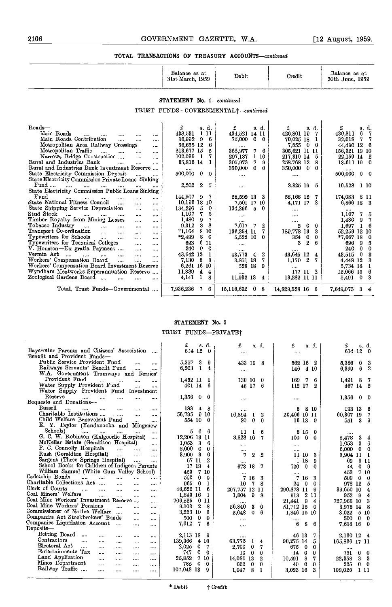| Balance as at<br>31st March.<br>1959 | Debit | Credit | Balance as at<br>30th June,<br>1959 |
|--------------------------------------|-------|--------|-------------------------------------|
|                                      |       |        |                                     |

#### STATEMENT No. 1-continued

TRUST FUNDS-GOVERNMENTAL<sup>†</sup>-continued

| $\text{Roads}$                                                                             | £            | s. d. |     | £.<br>s. d.               | £<br>s. d.         | £<br>s. d.                |
|--------------------------------------------------------------------------------------------|--------------|-------|-----|---------------------------|--------------------|---------------------------|
| Main Roads<br>$\cdots$<br><br>$\cdots$<br>                                                 | 438,531      | 111   |     | 434,521 14 11             | 426,801 19         | 430,811<br>6.             |
| Main Roads Contribution<br><br>$\cdots$<br>$\cdots$                                        | 36.992       | -9    | 6   | 75,000<br>0<br>-0         | 70,025 18          | 32,018<br>$7\phantom{.}$  |
| Metropolitan Area Railway Crossings<br>$\cdots$                                            | 36,635 12    |       | 6   | $\cdots$                  | 0<br>0<br>7,855    | 44,490 12<br>-6           |
| Metropolitan Traffic<br>$\mathbf{1}$<br>$\cdots$<br>$\cdots$<br>$\cdots$                   | 213,677 15   |       | 5   | 362,977<br>7<br>6         | 305,621 11 11      | 156,321 19 10             |
| Narrows Bridge Construction<br>$\cdots$<br>$\cdots$                                        | 102,036      | 1     | 7   | 1<br>297,187<br>10        | 217,310 14<br>5    | 22,159 14 2               |
| Rural and Industries Bank<br>$\cdots$<br>$\cdots$<br>$\cdots$                              | 65,816 14    |       |     | 305,973<br>7<br>9         | 258,768 12<br>8    | 18,611 19 0               |
| Rural and Industries Bank Investment Reserve                                               |              |       |     | 350,000<br>0<br>0         | 350,000<br>0<br>-0 |                           |
| State Electricity Commission Deposit                                                       | 500,000 0    |       | 0   | $\cdots$                  |                    | 500,000 0 0               |
| State Electricity Commission Private Loans Sinking                                         |              |       |     |                           |                    |                           |
| Fund<br>$\cdots$<br>$\cdots$<br>$\cdots$                                                   | 2,202        | -2    | 5   |                           | 8,325 19<br>5.     | 10,528 1 10               |
| State Electricity Commission Public Loans Sinking                                          |              |       |     |                           |                    |                           |
| Fund<br>$\cdots$<br>$\cdots$<br>$\cdots$<br><br>1.117<br>                                  | 144,507 9    |       | 7   | 28,592 13<br>3            | 58,168 12<br>7.    | 174,083 8 11              |
| State National Fitness Council<br>$\cdots$<br>$\cdots$<br>$\cdots$                         | 10,196 18 10 |       |     | 7,501 17 10               | 3.<br>4,171 17     | 6,866 18 3                |
| State Shipping Service Depreciation<br>$\cdots$<br>                                        | 134,296      | 5     | 0   | 134,296<br>-5<br>$\Omega$ | $\cdots$           |                           |
| Stud Stock<br>$\sim$ $\sim$<br>$\cdots$<br>$\cdots$<br>$\cdots$<br>$\cdots$<br>$\cdots$    | 1,107        | 7.    | 5   | $\cdots$                  | .                  | 1,107<br>$7^{\circ}$<br>5 |
| Timber Royalty from Mining Leases<br>$\cdots$<br>$\cdots$                                  | 1,480        | 9     |     |                           |                    | 9<br>1,480<br>7           |
| Tobacco Industry<br>$\sim$ $\sim$ $\sim$<br>$\cdots$<br><br><br>                           | 9.312        | 8     | 8   | 7,617<br>-7<br>2          | 2<br>0.<br>0       | 1,697<br>6                |
| Transport Co-ordination<br>$\cdots$<br>$\cdots$<br><br>$\cdots$                            | $*1,164$     | 8     | 10  | 136,354 11                | 189,778<br>13<br>3 | 52,259 12<br>-10          |
| Typewriters for Schools<br>$\sim$<br>$\cdots$<br>$\cdots$<br>                              | *2,499       | 8     | 0   | 5,522 10<br>0             | 354<br>0<br>0.     | $*7,667$ 18<br>-0         |
| Typewriters for Technical Colleges<br>$\cdots$<br>1.11                                     | 693          | 6.    | -11 | $\cdots$                  | 3<br>2<br>ĥ.       | 696.<br>9<br>5            |
| V. Houston-Ex gratia Payment<br>$\sim$<br>$\cdots$                                         | 240          | 0     | 0   |                           |                    | 240<br>0<br>0             |
| Vermin Act ….<br><b>Service</b> Contractor<br>$\cdots$<br>$\cdots$<br>$\cdots$<br>$\cdots$ | 43,642 12    |       |     | 2<br>43,773<br>4          | 43,645 12<br>4     | 0<br>43,515               |
| Workers' Compensation Board<br>$\cdots$<br>$\cdots$<br>$\cdots$                            | 7,130        | 8     | 3   | 3,851 18<br>7             | 2<br>1,170<br>7.   | 4,448 12                  |
| Workers' Compensation Board Investment Reserve                                             | 6,261 16     |       | -10 | <b>18</b><br>526<br>9     |                    | 5,734 18                  |
| Wyndham Meatworks Superannuation Reserve                                                   | 11,889       | 4     | 4   | $1 - 1 -$                 | 177 11 2           | 12,066 15                 |
| Zoological Gardens Board<br>$\cdots$<br>$\cdots$                                           | 4,141        |       | я   | 11,932 13<br>4            | 13,282 11 11       | 5,491<br>-0<br>3          |
|                                                                                            |              |       |     |                           |                    |                           |
| Total, Trust Funds-Governmental                                                            | 7,936,236    | -7.   | -6  | 15.116.692<br>8<br>-0     | $14,829,528$ 16 6  | 7,649,073 3 4             |
|                                                                                            |              |       |     |                           |                    |                           |
|                                                                                            |              |       |     |                           |                    |                           |

#### STATEMENT No. 2 TRUST FUNDS-PRIVATEt

|                                                                           | £<br>s d.                             | £<br>s. d.                    | £<br>s.d.                          | £<br>s. d.                    |
|---------------------------------------------------------------------------|---------------------------------------|-------------------------------|------------------------------------|-------------------------------|
| Bayswater Parents and Citizens' Association                               | 614 12<br>-0                          | $\cdots$                      | $\cdots$                           | 614 12 0                      |
| Benefit and Provident Funds-                                              |                                       |                               |                                    |                               |
| Public Service Provident Fund<br>$\cdots$<br>$\cdots$                     | 3<br>5.257<br>9                       | 433 19 8                      | 562 16<br>-2                       | 5,386 0<br>3                  |
| Railways Servants' Benefit Fund<br>$\cdots$<br>$\cdots$                   | 6,203<br>-1<br>4                      |                               | 4 10<br>146                        | -6<br>2<br>6,349              |
| W.A. Government Tramways and Ferries'                                     |                                       |                               |                                    |                               |
| Provident Fund<br><br>$\cdots$<br>$\cdots$<br>$\cdots$                    | 1.452 II<br>$\mathbf{1}$              | 130 10<br>0                   | 169<br>6<br>7                      | 1.491 8                       |
| Water Supply Provident Fund<br>                                           | 401 14 6                              | 46 17 6                       | 112 17<br>2                        | 467 14 2                      |
| Water Supply Provident Fund Investment                                    |                                       |                               |                                    |                               |
| Reserve<br>$\cdots$<br>$\cdots$<br>$\cdots$<br>$\cdots$<br>$\cdots$       | 1,356<br>$\mathbf{0}$<br>-0           | $\cdots$                      |                                    | 1,356<br>$\mathbf{0}$<br>- 0  |
| Bequests and Donations-                                                   |                                       |                               |                                    |                               |
| Bussell<br>$\ddotsc$<br>$\sim 100$<br>$\cdots$<br>$\cdots$<br>$\cdots$    | 188<br>$4 \quad 8$                    |                               | 5.<br>8 10                         | 193 13 6                      |
| Charitable Institutions<br>$\cdots$<br>$\cdots$                           | 56,795 9 10                           | 16.894<br>2                   | 20.406 10 11                       | 60,307 19<br>- 7              |
| Child Welfare Benevolent Fund<br>$\cdots$                                 | 554 10 0                              | $\bf{0}$<br>$\Omega$<br>20    | 16 13<br>- 9                       | -3-<br>-9<br>551              |
| E. Y. Taylor (Yandanooka and Mingenew                                     |                                       |                               |                                    |                               |
| Schools)<br>$\cdots$<br>$\cdots$<br>                                      | 5<br>6<br>6                           | 11<br>6<br>1                  | 5 15<br>0                          |                               |
| G. C. W. Robinson (Kalgoorhe Hospital)<br>                                | 12,206 13 11                          | 3,828 10<br>7                 | $0\quad 0$<br>100                  | 8,478<br>-3<br>$\overline{4}$ |
| McKellar Estate (Geraldton Hospital)<br>$\cdots$                          | 1,063<br>-3<br>6                      | $\cdots$                      | $\cdots$                           | 3.<br>1,053<br>6              |
| P. C. Connolly Hospitals<br>$\cdots$<br>$\cdots$<br>.                     | 6,000<br>$\mathbf{0}$<br>$\mathbf{0}$ |                               |                                    | 6.000<br>$0\quad 0$           |
| Rush (Geraldton Hospital)<br>$\cdots$<br>$\cdots$                         | $3,900 \quad 3$<br>0                  | 7<br>2<br>2                   | -3<br>1110                         | 3,904 11 1                    |
| Sargent (Three Springs Hospital)<br>$\sim$<br>                            | 67 11<br>2                            |                               | 1 18<br>9                          | 9 11<br>69.                   |
| School Books for Children of Indigent Parents                             | 17 19<br>$\overline{\bf{4}}$          | 673 18                        | 700<br>$\mathbf{0}$<br>$\Omega$    | $\mathbf{0}$<br>-9<br>44      |
| William Samuel (White Gum Valley School)                                  | 453<br>7 10                           |                               |                                    | 7 10<br>453                   |
| Cadetship Bonds<br>and the<br>and the<br>$\cdots$<br>$\ddotsc$<br>        | 500<br>$\bf{0}$<br>-0                 | $\cdots$<br>7 16<br>З         | 7 16<br>3                          | 500<br>$\mathbf{0}$<br>- 0    |
| Charitable Collections Act<br>$\cdots$<br>$\cdots$<br>                    | 965<br>$\mathbf{0}$<br>1              | 10<br>7.<br>-8                | 24<br>$\bf{0}$<br>- 0              | 978 12<br>-5                  |
| Clerk of Courts<br>$\cdots$<br>$\cdots$<br>$\cdots$<br>$\cdots$<br>.      | 46,529 11<br>6                        | 297,757 12 11                 | 290,878 11 9                       | 39,650 10<br>4                |
| Coal Miners' Welfare<br>$\cdots$<br>$\cdots$<br><br>$\cdots$              | 1,843 16<br>1                         | 1,804<br>-9<br>8              | 913 2 11                           | 952 9<br>4                    |
| Coal Mine Workers' Investment Reserve<br>$\cdots$                         | 706,525<br>011                        |                               | 21,441<br>9<br>$\overline{4}$      | 727,966 10<br>-3              |
| Coal Mine Workers' Pensions<br>$\cdots$<br>$\cdots$<br>$\cdots$           | $\mathbf{z}$<br>9.103<br>-8           | $\cdots$<br>56,840<br>3.<br>0 | $51,712$ 15 0                      | 3,975 14 8                    |
| Commissioner of Native Welfare<br>$\cdots$<br>$\cdots$                    | $3,223$ 10<br>-6                      | 2,048<br>6<br>0.              | 1,846 15 10                        | $3,022$ 5 10                  |
| Companies Act Stockbrokers' Bonds<br>$\cdots$<br>$\cdots$                 | $\mathbf{0}$<br>500<br>$\Omega$       |                               |                                    | 500 0 0                       |
| Companies Liquidation Account<br>$\sim 10^{-10}$<br>$\cdots$<br>$\cdots$  | 7,612<br>7.<br>6                      | $\cdots$                      | $\cdots$<br>6.<br>86               | 7,618 16 0                    |
| Deposits-                                                                 |                                       | 1.111                         |                                    |                               |
| Betting Board<br>$\cdots$<br>$\cdots$<br>$\cdots$<br>$\cdots$<br>$\cdots$ | 2,113 18 9                            |                               | 46 13<br>7.                        | 2,160 12 4                    |
| Contractors<br>$\cdots$<br>$\cdots$<br>$\cdots$<br><br>$\cdots$           | 139,366<br>4 10                       | 63,775<br>$1\quad 4$          | 90.275 14 5                        | 165,866 17 11                 |
| Electoral Act<br>$\cdots$<br>$\cdots$<br>$\cdots$<br>                     | 2,025<br>0<br>7                       | 2,700<br>$\mathbf 0$<br>7     | 675<br>$\bf{0}$<br>$\Omega$        |                               |
| <br>Entertainments Tax<br>$\cdots$<br>$\cdots$                            | 747<br>0<br>$\Omega$                  | 10<br>- 0<br>0                | 14<br>$\bf{0}$<br>$\Omega$         | <br>$\mathbf{0}$<br>0<br>751  |
| $\cdots$<br>$\cdots$<br>Land Application<br>$\cdots$                      | 25,852<br>7<br>10                     | 14,085 13<br>2                | - 8<br>10,591<br>7.                | 22,358<br>3.<br>-3            |
| <br>$\cdots$<br><br>Mines Department<br>$\cdots$                          | 785<br>0<br>$\bf{0}$                  | 600<br>- 0<br>0               | $\mathbf{0}$<br>40<br>$\mathbf{0}$ | 225<br>$0\quad 0$             |
| <br>$\cdots$<br><br>Railway Traffic<br>$\cdots$                           | 107,048 13<br>-9                      | 1,047<br>8<br>1               | 3,023 16<br>3                      | 109,025<br>111                |
| <br>$\cdots$<br>$\cdots$                                                  |                                       |                               |                                    |                               |
|                                                                           |                                       |                               |                                    |                               |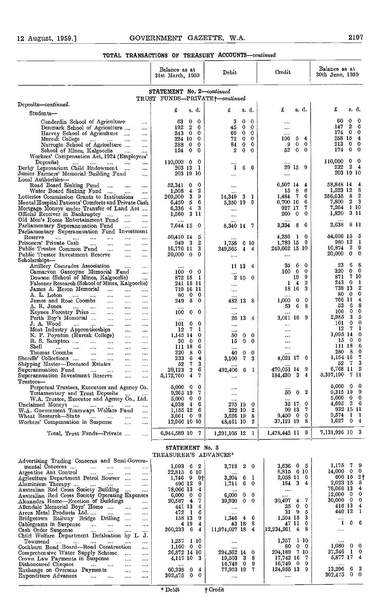|                                                                                                                                                                        | Balance as at<br>31st March, 1959 |                                           | Debit                                           | Credit                                                           | Balance as at<br>30th June, 1959                  |
|------------------------------------------------------------------------------------------------------------------------------------------------------------------------|-----------------------------------|-------------------------------------------|-------------------------------------------------|------------------------------------------------------------------|---------------------------------------------------|
|                                                                                                                                                                        | STATEMENT No. 2-continued         |                                           | TRUST FUNDS-PRIVATE+-continued                  |                                                                  |                                                   |
| Deposits-continued.                                                                                                                                                    | £                                 | s. d.                                     | £<br>s. d.                                      | £<br>s. d.                                                       | £<br>s. d.                                        |
| Students-                                                                                                                                                              |                                   |                                           |                                                 |                                                                  | 60<br>0<br>0                                      |
| Cunderdin Sehool of Agriculture<br>$\cdots$<br>Denmark School of Agriculture<br>$\cdots$                                                                               | 63<br>192                         | $\mathbf 0$<br>0<br>$\boldsymbol{2}$<br>6 | 3<br>0<br>0<br>0<br>45<br>0                     | <br>$\cdots$                                                     | 2<br>6<br>147                                     |
| Harvey School of Agriculture<br>$\cdots$<br>Muresk College                                                                                                             | 243.<br>224 10                    | - 0<br>0<br>0                             | 0<br>69.<br>$\Omega$<br>0<br>72<br>$\mathbf{0}$ | <br>106<br>4<br>5.                                               | $\mathbf{0}$<br>$\bf{0}$<br>174.<br>258 15<br>4   |
| and the con-<br>$\cdots$<br><br>Narrogin School of Agriculture<br>$\cdots$                                                                                             | 288 0                             | 0                                         | 84<br>0<br>0                                    | 9<br>$\mathbf{0}$<br>0                                           | $\mathbf{0}$<br>213<br>0                          |
| School of Mines, Kalgoorlie<br>$\cdots$<br>$\cdots$<br>Workers' Compensation Act, 1924 (Employers'                                                                     | 124                               | $\mathbf{0}$<br>0                         | $\bf{0}$<br>2<br>$\bf{0}$                       | 52<br>$\bf{0}$<br>$\mathbf{0}$                                   | 174<br>$\mathbf{0}$<br>0                          |
| Deposits)<br>$\cdots$<br>$\cdots$<br>$\cdots$                                                                                                                          | 110,000 0                         | 0                                         |                                                 |                                                                  | 110,000<br>0<br>0                                 |
| Derby Leprosarium Child Endowment<br>$\cdots$<br>$\cdots$<br>Junior Farmers' Memorial Building Fund<br>$\cdots$                                                        | 203 13                            | 1<br>203 19 10                            | 6<br>1<br>6<br>                                 | 29 15 9<br>$\cdots$                                              | $\mathbf{2}$<br>232<br>4<br>203 19 10             |
| Local Authorities-                                                                                                                                                     |                                   |                                           |                                                 |                                                                  | 58,848 14<br>4                                    |
| Road Board Sinking Fund<br>$\ldots$<br>$\cdots$<br>$\cdots$<br>Water Board Sinking Fund<br>$\cdots$<br>                                                                | 52,341<br>1,508                   | 0<br>0<br>$\overline{4}$<br>2             |                                                 | 6,507 14<br>4<br>15<br>8<br>6                                    | 1,523 12<br>8                                     |
| Lotteries Commission Grants to Institutions<br>$\cdots$<br>Mental Hospital Patients' Comforts and Private Cash                                                         | 269,500 3<br>6,450,5              | 9<br>6                                    | 3<br>14.349<br>-1<br>9                          | 6<br>1,484<br>7<br>6<br>6,700 16                                 | - 8<br>256,635<br>2<br>2<br>3<br>7,800            |
| Mortgage Moneys under Transfer of Land Act                                                                                                                             | 0,336                             | 43                                        | 5,350 19                                        | 7<br>927 17                                                      | 7,264 1 10                                        |
| Official Receiver in Bankruptey<br>$\sim$<br>$\ddotsc$<br><br>Old Men's Home Entertainment Fund<br>$\cdots$<br>$\cdots$                                                |                                   | 1,560 3 11                                | $\cdots$                                        | 0<br>260<br>$\mathbf{0}$                                         | -311<br>1,820                                     |
| Parliamentary Superannuation Fund<br>$\cdots$<br>                                                                                                                      | 7,644 15                          | 0                                         | <br>8,340 14<br>- 7                             | 6<br>3,334<br>8                                                  | 2,638<br>8 II                                     |
| Parliamentary Superannuation Fund Investment<br>Reserve<br>$\ldots$<br>$\cdots$<br>$\cdots$<br>$\cdots$<br>$\cdots$                                                    | 50,410 14                         | 5                                         |                                                 | 4,236<br>-0<br>$\mathbf{I}$                                      | 54.696 15<br>5                                    |
| Prisoners' Private Cash<br>$\ldots$<br><br>$\cdots$<br>$\cdots$<br>Public Trustee Common Fund                                                                          | 949 3                             | 2<br>3                                    | 6 10<br>1,758<br>4<br>-4                        | - 9<br>1,789 15<br>249,662 15 10                                 | 980 12<br>-1<br>$\mathbf{2}$<br>-9<br>16,874      |
| $\ddotsc$<br>$\ldots$<br>$\cdots$<br>Public Trustee Investment Reserve<br>$\ldots$<br>                                                                                 | 16,776 11<br>20,000 0             | 0                                         | 249.565<br>                                     | $\cdots$                                                         | $\mathbf{0}$<br>$\mathbf 0$<br>20,000             |
| Scholarships—<br>Artillery Conrades Association<br>$\cdots$<br>$\cdots$                                                                                                |                                   |                                           | 11 13<br>4                                      | 0<br>0<br>35                                                     | 6<br>8<br>23                                      |
| Carnarvon Gaseoyne Memorial Fund<br>                                                                                                                                   | <br>160.                          | $\bf{0}$<br>$\mathbf{0}$                  |                                                 | $\bf{0}$<br>160<br>$\mathbf{0}$                                  | 320<br>$\bf{0}$<br>0<br>7 10                      |
| Dowson (School of Mines, Kalgoorlie)<br><br>Falconer Research (School of Mines, Kalgoorlie)                                                                            | 872 18                            | $\mathbf{1}$<br>241 15 11                 | 2<br>10<br>- 0<br>                              | 9<br>19<br>2<br>$\overline{4}$<br>1                              | 871<br>$\bf{0}$<br>243<br>$\mathbf l$             |
| James A. Heron Memorial<br>$\cdots$<br>$\cdots$<br>$\cdots$                                                                                                            |                                   | 719 16 11                                 | $\cdots$                                        | 3<br>18 16                                                       | 2<br>738 13<br>$\bf{0}$<br>0<br>80                |
| A. L. Loton<br>$\cdots$<br>$\cdots$<br>$\cdots$<br>$\cdots$<br><br>James and Rose Coombs<br>$\cdots$<br><br>$\cdots$                                                   | -80<br>249.                       | $\mathbf{0}$<br>- 0<br>- 5<br>$\bf{0}$    | 482 13<br>-8                                    | <br>0<br>1,000<br>0                                              | 766 II<br>4                                       |
| A. R. Jones<br><b>Sales</b> College<br>$\cdots$<br>$\cdots$<br>$\cdots$<br><br>Keynes Forestry Prize<br>$\sim$                                                         | 100                               | 0<br>0                                    | $\cdots$                                        | 6.<br>8<br>53<br>$\cdots$                                        | 53<br>- 6<br>8<br>$\bf{0}$<br>100<br>0            |
| $\sim$ and $\sim$<br><br>Perth Boy's Memorial<br>$\cdots$<br>$\cdots$<br>$\cdots$                                                                                      | $\cdots$                          |                                           | 26 13<br>4                                      | 3,011 16 9                                                       | 3<br>2,985<br>5                                   |
| J. A. Wood<br>$\cdots$<br>$\cdots$<br>$\ldots$<br>$\ldots$<br>$\cdots$<br>Meat Industry Apprenticeships<br>$\ldots$<br>                                                | 101<br>12                         | $\mathbf 0$<br>0<br>7<br>1                | $\cdots$<br>                                    | $\cdots$<br>$\cdots$                                             | 0<br>101<br>$\bf{0}$<br>12<br>7<br>1              |
| N. F. Poynton (Muresk College)<br>$\cdots$<br>                                                                                                                         | 1,145 14                          | $\bf{0}$                                  | 0<br>$\mathbf 0$<br>50                          | $\cdots$                                                         | 1,095 14<br>-0                                    |
| R. S. Sampton<br>$\cdots$<br>$\cdots$<br>$\cdots$<br><br>$_{\rm Shell}$<br>$\cdots$<br>$\cdots$<br>$\cdots$<br><br>$\cdots$<br>$\cdots$                                | 30<br>111 18                      | 0<br>- 0<br>6                             | 0<br>15<br>0<br>                                | <br>$\cdots$                                                     | $\mathbf{0}$<br>0<br>15<br>111 18<br>6            |
| Thomas Coombe<br>$\cdots$<br>$\cdots$<br>$\cdots$<br>$\cdots$<br>Sheriffs' Collections                                                                                 | 320<br>233                        | -8<br>0<br>-6<br>4                        | 0<br>$\mathbf 0$<br>40                          | <br>4,021 17<br>- 6                                              | 280 8<br>0<br>7<br>1,154 16                       |
| $\cdots$<br>$\cdots$<br>$\cdots$<br>$\cdots$<br>Shipping Master—Deceased Estates<br>$\cdots$<br>$\cdots$                                                               | 52                                | 3<br>7                                    | 7<br>3.100<br>3                                 | 1.11                                                             | 3<br>52<br>- 7                                    |
| Superannuation Fund<br>$\sim$ - $\sim$<br>$\ldots$<br><br>Superannuation Investment Reserve<br>$\cdots$                                                                | 29,123<br>5,172,760               | 6<br>2<br>4<br>7                          | 492,406<br>6<br>-1                              | -9<br>470,051 14<br>34<br>184,430                                | 6,768 11<br>-2<br>5,357,190<br>7 II               |
| <br>${\rm Trustees}$ —                                                                                                                                                 |                                   |                                           |                                                 |                                                                  |                                                   |
| Perpetual Trustees, Executors and Agency Co.<br>Testamentary and Trust Deposits                                                                                        |                                   | $5,000 \quad 0 \quad 0$<br>$9,265$ 19 7   | $\cdots$<br>                                    | $\cdots$<br>-2<br>50<br>$\mathbf{0}$                             | $5,000 \quad 0 \quad 0$<br>-9<br>9,315 19         |
| W.A. Trustee, Executor and Ageney Co., Ltd.                                                                                                                            |                                   | $5,000 \quad 0 \quad 0$                   |                                                 | <br>-0<br>32 17                                                  | 5,000 0<br>0<br>$4,695$ 2 6                       |
| Unelaimed Moneys<br>$\sim 100$ and $\sim 100$<br>$\cdots$<br>$\cdots$<br>W.A. Government Tramways Welfare Fund<br>$\cdots$                                             | 1,155 12                          | 4,938 4 6<br>- 6                          | 275 19<br>0<br>2<br>322 10                      | 7<br>99 13                                                       | 932 15 11                                         |
| Wheat Research—State<br>$\cdots$<br>$\cdots$<br>Workers' Compensation in Suspense                                                                                      |                                   | 3,661 0 9<br>12,966 10 10                 | 3,526 19<br>-8<br>48,461 10<br>2                | 0<br>$9,450$ 0<br>37,121 19 8                                    | $9,574$ 1 1<br>1,627 0 4                          |
|                                                                                                                                                                        |                                   |                                           |                                                 |                                                                  | 7,131,926 10 3                                    |
| Total, Trust Funds—Private<br>                                                                                                                                         | 6,944,589 10 7                    |                                           | 1,291,105 12 1                                  | 1,478,442 11 9                                                   |                                                   |
|                                                                                                                                                                        | STATEMENT No. 3                   |                                           |                                                 |                                                                  |                                                   |
| Advertising Trading Concerns and Semi-Govern-                                                                                                                          | TREASURER'S ADVANCES*             |                                           |                                                 |                                                                  |                                                   |
| mental Concerns<br>$\cdots$<br>                                                                                                                                        |                                   | $1,093$ 6 2                               | 2<br>3,718<br>0                                 | 3,636 0 5                                                        | 1,175 7<br>-9<br>$14,000 \quad 0$<br>$\mathbf{0}$ |
| Argentine Ant Control<br>$\mathbf{r}_{\mathbf{r}}$ , $\mathbf{r}_{\mathbf{r}}$<br>$\cdots$<br>$\cdots$<br>$\cdots$<br>Agrieulture Department Petrol Bowser<br>$\cdots$ |                                   | 22,815 6 10<br>$1,746$ 9 9 <sup>+</sup>   | 11.1.4<br>6<br>$\mathbf{1}$<br>3.204            | 8,815 6 10<br>2,058 11 6                                         | 600 15<br>-2†                                     |
| Aluminium Therapy<br>المستحدث المتناء<br>                                                                                                                              |                                   | 496 12<br>9<br>78,066 13 4                | 6<br>1,711<br>- 0                               | 184 3 4                                                          | 2,023 15 5<br>78,066 13<br>4                      |
| Australian Red Cross Society Building<br><br>Australian Red Cross Society Operating Expenses                                                                           |                                   | $0,000 \quad 0 \quad 0$                   | <br>6.000<br>0<br>- 0                           | $\cdots$<br>                                                     | $12,000 \quad 0$<br>-0                            |
| Alexandra Home-Erection of Buildings<br><br>Allendale Memorial Boys' Home<br>                                                                                          |                                   | 20,567 4 7<br>441 13<br>4                 | 39,930<br>$\bf{0}$<br>$\mathbf{0}$<br>$\cdots$  | 30,497<br>7<br>$\overline{\mathbf{4}}$<br>$\mathbf 0$<br>25<br>0 | 30,000 0<br>0<br>416 13 4                         |
| Areus Metal Products Ltd<br>$\cdots$<br>                                                                                                                               |                                   | $472 \quad 1 \quad 6$                     | $\cdots$                                        | $\cdot$ 9<br>31<br>-5                                            | 440 12 1                                          |
| Bridgetown Railway Bridge Drilling<br><br>Cablegrams in Suspense<br>$\sim 100$ km s $^{-1}$<br><br>$\cdots$<br>                                                        |                                   | 158 13<br>-9<br>4 19<br>4                 | 1,346<br>$4\quad 6$<br>43 18 8                  | -3<br>1,504 18<br>6<br>47 II                                     | <br>6<br>- 6<br>$\bf{l}$                          |
| Cash Order Suspense<br>$\cdots$<br><br>                                                                                                                                | 260,233 6 4                       |                                           | 11,974,027 18 4                                 | $[12, 234, 261 \quad 4]$<br>8                                    |                                                   |
| Child Welfare Department Defalcation by L. J.                                                                                                                          |                                   | $1,257$ 1 10                              |                                                 | 1,257<br>1 10                                                    |                                                   |
| Townsend<br>$\sim 0.001$<br>$\cdots$<br>                                                                                                                               |                                   | $1,160$ 0 0                               |                                                 | 80<br>$0\quad 0$                                                 | 1,080<br>$0\quad 0$<br>27,246 1<br>-0             |
| Coekburn Road Board—Road Construction<br>$\cdots$                                                                                                                      |                                   |                                           |                                                 |                                                                  |                                                   |
| Comprehensive Water Supply Scheme<br>$\ldots$<br>$\cdots$<br>Crown Law Payments in Suspense<br>$\cdots$<br>                                                            | 26,872 14 10                      | 4,117 10 3                                | 294,562 14 0<br>38<br>19,503                    | 294,189 7 10<br>17,742 16<br>-7                                  | 5,877 17<br>4                                     |
| Dishonoured Cheques<br>$\cdots$<br>$\cdots$<br>$\cdots$<br>Exchange on Overseas Payments<br>$\cdots$<br>                                                               | 60,298                            | $\mathbf{0}$<br>$\overline{4}$            | $16,749$ 0 9<br>77,953 19 7                     | $16,749$ 0<br>9<br>124,955 13<br>9                               | $13,296$ 6<br>2<br>302,475 0 0                    |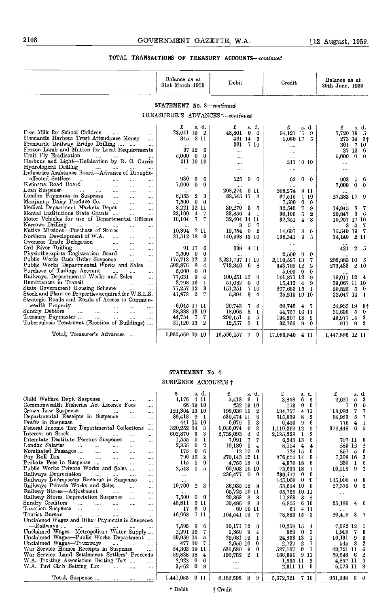|                                                                                                                                                                                                                                                                                                                                                                                                                                                                                                      | Balance as at<br>31st March 1959      | Debit                          | Credit                          | Balance as at<br>30th June, 1959 |  |  |  |  |  |  |
|------------------------------------------------------------------------------------------------------------------------------------------------------------------------------------------------------------------------------------------------------------------------------------------------------------------------------------------------------------------------------------------------------------------------------------------------------------------------------------------------------|---------------------------------------|--------------------------------|---------------------------------|----------------------------------|--|--|--|--|--|--|
| STATEMENT No. 3-continued                                                                                                                                                                                                                                                                                                                                                                                                                                                                            |                                       |                                |                                 |                                  |  |  |  |  |  |  |
|                                                                                                                                                                                                                                                                                                                                                                                                                                                                                                      | TREASURER'S ADVANCES*-continued       |                                |                                 |                                  |  |  |  |  |  |  |
|                                                                                                                                                                                                                                                                                                                                                                                                                                                                                                      |                                       |                                |                                 |                                  |  |  |  |  |  |  |
|                                                                                                                                                                                                                                                                                                                                                                                                                                                                                                      | £<br>s. d.                            | £<br>s.d.                      | £<br>s. d.                      | £<br>s. d.                       |  |  |  |  |  |  |
| Free Milk for School Children<br>1.111<br>$\cdots$                                                                                                                                                                                                                                                                                                                                                                                                                                                   | 23,041 15<br>$\frac{2}{2}$            | 48,801<br>$\bf{0}$<br>- 0      | 64,121 15<br>-9                 | 7,720 19<br>5                    |  |  |  |  |  |  |
| Fremantle Harbour Trust Attendance Money<br>$\sim$ . $\sim$ .                                                                                                                                                                                                                                                                                                                                                                                                                                        | 345 8 11                              | 461 14 3                       | $1.080$ 17<br>-5                | 273 14 3+                        |  |  |  |  |  |  |
| Fremantle Railway Bridge Drilling                                                                                                                                                                                                                                                                                                                                                                                                                                                                    | $\cdots$                              | 7 10<br>361                    | $\cdots$                        | 361 7 10                         |  |  |  |  |  |  |
| Frozen Lamb and Mutton for Local Requirements<br>Fruit Fly Eradication                                                                                                                                                                                                                                                                                                                                                                                                                               | 37 12<br>6<br>$5,000 \quad 0 \quad 0$ |                                | $\cdots$                        | 37126                            |  |  |  |  |  |  |
| $\cdots$<br>$\cdots$<br>Harbour and Light-Defalcation by R. G. Currie                                                                                                                                                                                                                                                                                                                                                                                                                                | 211 10 10                             |                                | $\cdots$                        | $0\quad 0$<br>5,000              |  |  |  |  |  |  |
| Hydrological Drilling                                                                                                                                                                                                                                                                                                                                                                                                                                                                                |                                       | $\cdots$                       | 211 10 10                       | $\cdots$                         |  |  |  |  |  |  |
| $\mathcal{L}_{\text{max}}$ . The $\mathcal{L}_{\text{max}}$<br>$\cdots$<br>$\cdots$<br>Industries Assistance Board-Advance of Drought-                                                                                                                                                                                                                                                                                                                                                               | $\cdots$                              |                                | $\cdots$                        | $\cdots$                         |  |  |  |  |  |  |
| affected Settlers<br>$\mathbf{r}$<br>$\cdots$                                                                                                                                                                                                                                                                                                                                                                                                                                                        | 930<br>$\sqrt{5}$<br>6                | 125<br>$\bf{0}$<br>$\bf{0}$    | 62<br>$\bf{0}$<br>$\bf{0}$      | 993<br>- 6<br>5                  |  |  |  |  |  |  |
| Kwinana Road Board<br>$\mathbf{r}$<br>$\ddotsc$<br>$\cdots$<br>$\cdots$                                                                                                                                                                                                                                                                                                                                                                                                                              | 7,000<br>$\mathbf{0}$<br>$\bf{0}$     |                                |                                 | 7,000<br>$\bf{0}$<br>$\bf{0}$    |  |  |  |  |  |  |
| Loan Suspense<br>$\sim$<br><b>Contractor</b><br><b>Service</b><br>$\cdots$<br>$\sim$                                                                                                                                                                                                                                                                                                                                                                                                                 |                                       | 208,274<br>9 11                | <br>208,274<br>911              |                                  |  |  |  |  |  |  |
| London Payments in Suspense<br><b>Contract Contract Contract</b><br>$\sim 10^{-1}$<br>$\cdots$                                                                                                                                                                                                                                                                                                                                                                                                       | <br>6,353<br>$\mathbf 2$<br>3         | 88,545 17 4                    | 67,515<br>$1\,10$               | 27,383 17<br>-9                  |  |  |  |  |  |  |
| Manjimup Dairy Produce Co.<br>$\sim$<br>$\cdots$                                                                                                                                                                                                                                                                                                                                                                                                                                                     | $\mathbf{0}$<br>7,500<br>$\bf{0}$     |                                | 7,500<br>0<br>$\bf{0}$          |                                  |  |  |  |  |  |  |
| Medical Department Markets Depot<br>$\mathbf{r}$<br>$\ddotsc$                                                                                                                                                                                                                                                                                                                                                                                                                                        | 8,221 12 11                           | 3<br>39,270<br>5               | 7.<br>32,546<br>-9              | 14,945 8<br>-7                   |  |  |  |  |  |  |
| Mental Institutions State Grants<br>$\ddotsc$<br>$\cdots$                                                                                                                                                                                                                                                                                                                                                                                                                                            | 23,100<br>4<br>-7                     | 33,856<br>4 <sub>1</sub>       | 36,109<br>5<br>$\boldsymbol{2}$ | 20,847 3 6                       |  |  |  |  |  |  |
| Motor Vehicles for use of Departmental Officers                                                                                                                                                                                                                                                                                                                                                                                                                                                      | 10,104<br>7<br>7                      | 32,404 14 11                   | 32,251<br>$\overline{4}$<br>8   | 10,257 17 10                     |  |  |  |  |  |  |
| Narrows Drilling<br>asset of the<br>$\mathbf{1}_{\mathbf{1}}\mathbf{1}_{\mathbf{2}}\mathbf{1}_{\mathbf{3}}\mathbf{1}_{\mathbf{4}}\mathbf{1}_{\mathbf{5}}\mathbf{1}_{\mathbf{6}}\mathbf{1}_{\mathbf{5}}\mathbf{1}_{\mathbf{6}}\mathbf{1}_{\mathbf{7}}\mathbf{1}_{\mathbf{8}}\mathbf{1}_{\mathbf{9}}\mathbf{1}_{\mathbf{1}}\mathbf{1}_{\mathbf{1}}\mathbf{1}_{\mathbf{1}}\mathbf{1}_{\mathbf{1}}\mathbf{1}_{\mathbf{1}}\mathbf{1}_{\mathbf{1}}\mathbf{1}_{\mathbf{1}}\mathbf{$<br>$\cdots$<br>$\cdots$ |                                       | 5<br>- 7<br>3.                 |                                 | 3 <sub>5</sub><br>-7             |  |  |  |  |  |  |
| Native Missions-Purchase of Stores<br>$\cdots$<br>$\cdots$                                                                                                                                                                                                                                                                                                                                                                                                                                           | 10,394<br>21                          | $\overline{0}$<br>19,754<br>-2 | 2<br>14,607<br>6                | 15,540 19 7                      |  |  |  |  |  |  |
| Northern Development of W.A.<br>$\ldots$<br>$\cdots$                                                                                                                                                                                                                                                                                                                                                                                                                                                 | 31,512 18<br>- 6                      | 140,968 13 10                  | 9<br>138,341<br>-5              | 34,140 2 11                      |  |  |  |  |  |  |
| Overseas Trade Delegation<br>المتناولات<br>$\ldots$<br>$\cdots$                                                                                                                                                                                                                                                                                                                                                                                                                                      | $\cdots$                              |                                | $\cdots$                        | $\cdots$                         |  |  |  |  |  |  |
| Ord River Drilling<br>$\ldots$<br>$\cdots$                                                                                                                                                                                                                                                                                                                                                                                                                                                           | 91 17<br>6                            | 339<br>411                     |                                 | 431<br>$\overline{2}$<br>-5      |  |  |  |  |  |  |
| Physiotherapists Registration Board<br>$\overline{\mathbf{r}}$<br>i.                                                                                                                                                                                                                                                                                                                                                                                                                                 | $2,500 \quad 0$<br>0                  |                                | $2,500 \quad 0$<br>$\bf{0}$     |                                  |  |  |  |  |  |  |
| Public Works Cash Order Suspense<br>$\cdots$<br>$\cdots$                                                                                                                                                                                                                                                                                                                                                                                                                                             | 175,713 12<br>$\boldsymbol{2}$        | 2,231,797 11 10                | 7<br>2,110,527 13               | 296,983 10 5                     |  |  |  |  |  |  |
| Public Works Departmental Works and Sales                                                                                                                                                                                                                                                                                                                                                                                                                                                            | 503,876<br>8<br>$\bf{4}$              | 713,346 6<br>8                 | 943,789 12<br>$\bf{2}$          | 273,433 2 10                     |  |  |  |  |  |  |
| Purchase of Tailings Account<br>$\ldots$<br>$\cdots$                                                                                                                                                                                                                                                                                                                                                                                                                                                 | $\mathbf{0}$<br>5,000<br>$\theta$     |                                | $5,000 \quad 0$<br>$\bf{0}$     |                                  |  |  |  |  |  |  |
| Railways, Departmental Works and Sales                                                                                                                                                                                                                                                                                                                                                                                                                                                               | -9<br>77,631<br>$\overline{4}$        | $100,251$ 15 9                 | 101,871 12<br>9                 | 76,011 12 4                      |  |  |  |  |  |  |
| Remittances in Transit<br>$\ldots$ . $\ldots$<br>$\ldots$<br>$\cdots$                                                                                                                                                                                                                                                                                                                                                                                                                                | 2,798 16<br>1                         | 51,682<br>0 <sub>6</sub>       | $15.413 \quad 4$<br>$\Omega$    | 39,067 11 10                     |  |  |  |  |  |  |
| State Government Housing Scheme<br><br>$\cdots$                                                                                                                                                                                                                                                                                                                                                                                                                                                      | 3<br>77,257 12                        | 151,251<br>710                 | 207,683 15<br>-1                | $20,825 \quad 5 \quad 0$         |  |  |  |  |  |  |
| Stock and Plant on Properties acquired for W.S.L.S.                                                                                                                                                                                                                                                                                                                                                                                                                                                  | 41,873<br>- 5<br>7                    | 5,394<br>s<br>4                | 25,219 19 10                    | 22,047 14 1                      |  |  |  |  |  |  |
| Strategic Roads and Roads of Access to Common-                                                                                                                                                                                                                                                                                                                                                                                                                                                       |                                       |                                |                                 |                                  |  |  |  |  |  |  |
| wealth Property<br>$\cdots$<br>$\ddotsc$<br>Sundry Debtors                                                                                                                                                                                                                                                                                                                                                                                                                                           | 6,045 17 11                           | 29,743<br>7<br>S               | 60,745 4 7                      | 24,955 19<br>-01                 |  |  |  |  |  |  |
| $\mathcal{L}_{\text{max}}$<br>$\sim$<br>$\cdots$<br>$\mathbf{L}$<br>$\cdots$                                                                                                                                                                                                                                                                                                                                                                                                                         | 88,388 13 10                          | 8<br>18,065<br>- 1             | 44,757 16 11                    | $61,696$ 5<br>- 0                |  |  |  |  |  |  |
| Treasury Paymaster<br>$\cdots$<br>$\ddotsc$<br>$\ldots$<br>Tuberculosis Treatment (Erection of Buildings)                                                                                                                                                                                                                                                                                                                                                                                            | 44,734<br>-73                         | $\bf 5$<br>200,151<br>5        | 194,907 18<br>-9                | 49,977 14 3                      |  |  |  |  |  |  |
|                                                                                                                                                                                                                                                                                                                                                                                                                                                                                                      | 21,120 13<br>2                        | 5<br>12,557<br>$\mathbf{1}$    | 32,766 9<br>0                   | 911 9<br>3                       |  |  |  |  |  |  |
| Total, Treasurer's Advances                                                                                                                                                                                                                                                                                                                                                                                                                                                                          | 1,965,569 10 10                       | 16,566,157 7 0                 | 17,083,840 4 11                 | 1,447,886 12 11                  |  |  |  |  |  |  |
| $\cdots$                                                                                                                                                                                                                                                                                                                                                                                                                                                                                             |                                       |                                |                                 |                                  |  |  |  |  |  |  |

#### STATEMENT No. 4

#### SUSPENSE ACCOUNTS  $\dagger$

|                                                                                                                                   | £<br>s. d.                    | s d.                             | £<br>d.<br>s.            | £<br>s. d.                     |
|-----------------------------------------------------------------------------------------------------------------------------------|-------------------------------|----------------------------------|--------------------------|--------------------------------|
| Child Welfare Dept. Suspense<br>$\cdots$<br>$\cdots$<br>$\cdots$                                                                  | 4 11<br>4,176                 | 5,413<br>6<br>- 1                | 6<br>3,858<br>5          | $2{,}621$<br>5                 |
| Commonwealth Fisheries Act Licence Fees<br>$\cdots$                                                                               | 66 19 10                      | 232 19 10                        | 0<br>173<br>0            | 0<br>7                         |
| Grown Law Suspense<br><br>$\cdots$                                                                                                | 121,364 13 10                 | 198,038 11<br>2                  | 194,757<br>4<br>-11      | 118,083                        |
| Departmental Receipts in Suspense<br>$\cdots$<br>$\cdots$                                                                         | 89,418<br>9<br>1              | 539,474 11<br>8                  | 515,039<br>8<br>2        | $\ddot{o}$<br>64,983           |
| Drafts in Suspense<br>$\cdots$<br>$\cdots$                                                                                        | 441 15 10                     | 6,079<br>3<br>$\mathbf{1}$       | 6<br>6,416<br>9          | 779<br>4                       |
| Federal Income Tax Departmental Collections                                                                                       | 320,252 14<br>3               | 3<br>1,056,074<br>$\bf{0}$       | 5<br>1,110,269 12        | 6<br>374,448                   |
| Interest on Stock<br>$\sim 100$<br>$\cdots$<br>$\cdots$<br><br>$\cdots$                                                           | 602,870<br>3.<br>3            | $\overline{4}$<br>6<br>2,738,093 | 3<br>2,135,223           |                                |
| Interstate Destitute Persons Suspense<br><br>$\cdots$                                                                             | 5<br>1<br>1,555               | 7<br>7<br>7,091                  | 6<br>6,243 13            | 707 11                         |
| London Salaries<br><b>Contractor</b><br>$\cdots$<br>$\cdots$<br><br>$\cdots$                                                      | 9<br>2,355<br>2               | 10,180<br>$\mathbf{1}$<br>4      | $8,114$ 4<br>4           | 289 12<br>$\overline{2}$       |
| Nominated Passages<br>$\cdots$<br>$\cdots$<br><br>$\cdots$                                                                        | 0<br>175<br>6                 | $12\;10$<br>0                    | 728 15<br>0              | 891<br>- 5<br>6                |
| Pay Roll Tax $\ldots$ $\ldots$<br>$\cdots$<br><br>$\cdots$                                                                        | 796 15<br>$\overline{2}$      | 270,143 12 11                    | 276,655 14<br>0          | 7,308 16<br>3                  |
| Probate Fees in Suspense<br>$\cdots$<br>$\cdots$<br>$\cdots$                                                                      | 115<br>0                      | 4,755 18<br>- 0                  | 4,870 18<br>6            | 230                            |
| Public Works Private Works and Sales<br>$\cdots$                                                                                  | 2,548<br>õ                    | 60,063 10 10                     | 73,633 18<br>7           | 16,118<br>9<br>2               |
| Railways Depreciation<br>$\cdots$<br>$\cdots$<br>$\cdots$                                                                         | $\cdots$                      | 236,477<br>$0\quad 0$            | $236,477$ 0<br>$\bf{0}$  |                                |
| Railways Intersystem Revenue in Suspense<br>$\cdots$                                                                              |                               | $\cdots$                         | $145,000 \quad 0$<br>-0  | 145,000<br>-0<br>- 0           |
| Railways Private Works and Sales<br>$\mathbf{r}$<br>$\sim$                                                                        | 10,700<br>$\overline{2}$<br>3 | 36,935 12 9                      | 53,614 10<br>-8          | 27,379<br>$\mathbf{0}$         |
| Railway Stores-Adjustment<br><b>Service</b><br>$\cdots$<br>$\cdots$                                                               |                               | 65,725 10 11                     | 65,725 10 11             | $\cdots$                       |
| Railway Stores Depreciation Suspense<br>$\sim$ $\sim$<br>$\cdots$                                                                 | 7,500<br>0<br>- 0             | 20,363 8<br>-8                   | 12,863<br>8              | $\cdots$                       |
| Sundry Creditors<br>and the state<br>$\sim$<br>$\cdots$<br>$\cdots$                                                               | 48,811<br>5 11                | -3<br>$30,486$ 8                 | 6,855<br>6 10            | 25,180<br>4 6                  |
| Taxation Suspense<br>$\cdots$<br>$\sim$<br>$\cdots$                                                                               | 6<br>0<br>17                  | 80 10 11                         | 63<br>-11<br>4           |                                |
| Tourist Bureau<br>$\mathbf{r}$ , $\mathbf{r}$ , $\mathbf{r}$ , $\mathbf{r}$ , $\mathbf{r}$ , $\mathbf{r}$<br>$\cdots$<br>$\cdots$ | 46,068<br>7 11                | 104,541 19<br>-7                 | 78,883 15<br>-3          | 20,410 3<br>7                  |
| Unclaimed Wages and Other Payments in Suspense                                                                                    |                               |                                  |                          |                                |
| -Railways<br>and the second contract of the second second<br>$\cdots$                                                             | 7,595<br>-9<br>-6             | 10,171 12<br>$\Omega$            | $10.258$ 15<br>4         | 7,682 12<br>-1                 |
| Unclaimed Wages—Metropolitan Water Supply                                                                                         | 2,291 16                      | $1,350$ 9<br>4                   | 3<br>9690                | 1,910<br>$\mathbf{Z}$<br>6     |
| Unclaimed Wages-Public Works Department                                                                                           | 20,959 15<br>5                | 29,681 19<br>1                   | 24,853 13<br>1           | 16,131<br>- 9<br>5             |
| Unclaimed Wages-Tramways<br>$\sim$                                                                                                | 477 10<br>7                   | 2.659 10<br>0                    | 2,727<br>2<br>7          | $\boldsymbol{2}$<br>545<br>- 3 |
| War Service Homes Receipts in Suspense<br>$\sim$                                                                                  | 54,303 19 11                  | 531,689<br>$\bf{0}$<br>9         | 527,107<br>$\bf{0}$<br>7 | 49,721 11<br>6                 |
| War Service Land Settlement Settlers' Proceeds                                                                                    | 89,838 18<br>$\overline{4}$   | 2<br>196,782                     | -9<br>166,591<br>-11     | 59,648<br>- 6<br>2             |
| W.A. Trotting Association Betting Tax<br><b>Service</b>                                                                           | 2,922<br>6<br>0               | $\sim 100$                       | 1,935 11<br>3            | 4,857 11                       |
| W.A. Turf Club Betting Tax<br>$\sim$<br>$\cdots$                                                                                  | 0<br>3,462<br>8               | $\cdots$                         | 2,611 11 0               | 6,073 11<br>-8                 |
|                                                                                                                                   |                               |                                  |                          |                                |
| Total, Suspense<br>$\cdots$<br>$\cdots$<br>$\cdots$                                                                               | $1,441,085$ 6 11              | $6,162,598$ 8 9                  | $5,672,521$ 7 10         | $951,008$ 6 0                  |

\* Debit  $\qquad$  † Credit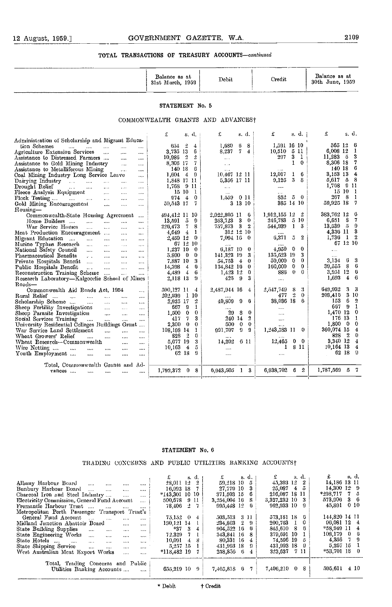|                                                                                          | Balance as at<br>31st March, 1959 | Debit                                | Credit                            | Balance as at<br>30th June, 1959   |
|------------------------------------------------------------------------------------------|-----------------------------------|--------------------------------------|-----------------------------------|------------------------------------|
|                                                                                          | STATEMENT No. 5                   |                                      |                                   |                                    |
|                                                                                          |                                   | COMMONWEALTH GRANTS AND ADVANCEST    |                                   |                                    |
|                                                                                          | £<br>s. d.                        | £<br>s. d.                           | £<br>s. d. j                      | s.d.<br>£                          |
| Administration of Scholarship and Migrant Educa-                                         |                                   |                                      |                                   |                                    |
| tion Schemes<br>$\cdots$<br>$\cdots$<br>$\cdots$<br>$\cdots$<br>                         | $654 - 2$<br>$\bf{4}$             | 1,680<br>6<br>8                      | 1,591 16 10                       | 565 12<br>6                        |
| Agriculture Extension Services<br>$\mathbf{L}$<br>المعدو<br>$\cdots$                     | 3,735 13<br>6                     | 74<br>8,237                          | 5 11<br>10,510                    | 6,008 12<br>1                      |
| Assistance to Distressed Farmers<br>$\mathbf{r}$<br>$\ddotsc$                            | 10,986 2<br>$\cdot$               | $\Delta\Delta\sim 1$                 | 3 <sub>1</sub><br>297             | $11.283$ 5<br>3                    |
| Assistance to Gold Mining Industry<br><b>Second</b><br>$\sim$ and $\sim$                 | 7<br>8.306 17                     | $\alpha$ and $\alpha$                | $1 \quad 0$                       | 8,306 18<br>7                      |
| Assistance to Metalliferous Mining<br>$\mathbf{r}_1, \mathbf{r}_2, \ldots$<br>$\cdots$   | 140 18<br>6                       | $\mathbf{r}$                         | $\alpha$ - $\alpha$               | 140 18<br>6                        |
| Coal Mining Industry Long Service Leave<br>$\ldots$                                      | $1,604$ 4 9                       | $10,467$ 12 11                       | 12,017<br>6<br>$\mathbf{1}$       | 3,153 13<br>4                      |
| Dairying Industry<br>$\cdots$                                                            | 1,848 17 11                       | 5,356 17 11                          | 5.<br>9,125<br>-8                 | $5,617$ 5<br>- 8                   |
| Drought Relief<br>and a state of the state of the state<br><b>Contractor</b><br>$\cdots$ | 1,768 9 11                        | $\ldots$                             | $\cdots$                          | 1,768 9 11                         |
| Fleece Analysis Equipment<br>$\cdots$                                                    | 15101                             | $\sim$ and $\sim$                    | $\sim$                            | $15\,10$<br>- 1                    |
| $\cdots$                                                                                 | $\overline{4}$<br>974<br>-0       | 0 <sub>II</sub><br>1.559.            | 50<br>35 <sup>2</sup>             | $-8$<br>267<br>-1                  |
| Gold Mining Encouragement<br>$\sim 100$ and $\sim 100$<br>$\cdots$                       | 59,543 17<br>7.                   | 3 13 10                              | 385 14 10                         | 59,925 18<br>- 7                   |
| Housing-                                                                                 |                                   |                                      |                                   |                                    |
| Commonwealth-State Honsing Agreement<br>$\sim$ 100 $\mu$                                 | 494,412 11 10                     | 2,022,805 11<br>- 6                  | 1,912,155 12 2                    | 383,762 12<br>G                    |
| Home Builders<br>$\mathbf{r}$<br>$\sim$<br>                                              | $13,591$ 5<br>-9                  | 3<br>$\bf{0}$<br>253,723             | $5\,10$<br>246,783                | - 8<br>7<br>6,651                  |
| War Service Homes<br><b>Contract Contract</b><br>$\ddotsc$<br>$\cdots$<br>$\cdots$       | 226,473 7 8                       | 757,873 3 2                          | 544,939<br>$1 \quad 3$            | $13,539$ 5<br>9                    |
| Meat Production Encouragement<br>$\sim$ $\sim$<br>$\cdots$                               | $\mathbf{1}$<br>$4,649$ 4         | 312 12 10                            |                                   | 3<br>4,336 11                      |
| Migrant Education<br>$\sim$<br>$\cdots$                                                  | 2,459 12 0                        | 7,094 16 0                           | 2<br>6,371<br>5                   | $1,736$ 1 2                        |
| Murine Typhus Research<br>$\ldots$<br>$\sim$ 100 $\sim$<br>$\cdots$                      | 671210                            |                                      |                                   | 67 12 10                           |
| National Safety Council<br>and the same<br>$\cdots$<br>$\cdots$                          | 1.237 10<br>- 0                   | 6,187 10<br>$\theta$                 | 0<br>$\bf{0}$<br>4.950            | $\sim$                             |
| Pharmaceutical Benefits<br>and the same<br>$\sim$<br>$\cdots$                            | 5.800 0<br>-0                     | 3<br>141,323 19                      | 135,523 19<br>3.                  | $\sim 100$                         |
| Private Hospitals Benefit<br>$\cdots$<br>$\sim$<br>$\ddotsc$                             | 3<br>7,887 10                     | $\overline{4}$<br>54,753<br>$\theta$ | $\bf{0}$<br>50,000<br>0           | -3<br>-6<br>3,134                  |
| Public Hospitals Benefit<br>$\sim$<br>$\mathcal{L}_{\text{max}}$<br>$\sim 100$           | 14.398<br>6<br>- 4                | 134,842 16 0                         | $\bf{0}$<br>160,000<br>0          | - 8<br>39,555<br>6                 |
| Reconstruction Training Scheme<br>$\sim 100$<br>aas.                                     | $4.489 + 4$<br>6                  | $1,423$ 12 0                         | 886<br>$0\quad 0$                 | 3,951 12<br>G                      |
| Research Laboratory-Kalgoorlie School of Mines                                           | 2,118 13<br>9                     | $425 -$<br>- 9<br>3                  | $\cdots$                          | 1,693<br>6<br>$\overline{4}$       |
| Roads-                                                                                   |                                   |                                      |                                   |                                    |
| Commonwealth Aid Roads Act, 1954<br>$\cdots$                                             | 590,127 11<br>-4                  | 2,487,944 16<br>4                    | 2,547,749<br>s<br>3               | 649,932<br>3<br>-3                 |
| Rural Relief<br>$\mathbf{z}$ and $\mathbf{z}$<br>$\cdots$<br>$\cdots$                    | $202,939$ 1 10                    |                                      | $\overline{2}$<br>$\theta$<br>477 | 203,416 3 10                       |
| Scholarship Scheme<br>and the<br>$\cdots$<br>$\cdots$                                    | 2<br>$2.925\,17$                  | 40,809<br>9<br>6                     | 38,036 18<br>- 6                  | 153 <sub>6</sub><br>$\overline{2}$ |
| Sheep Fertility Investigations<br>$\cdots$                                               | -1<br>667 9                       |                                      |                                   | -1<br>667 9                        |
| Sheep Parasite Investigation<br>$\sim$ $\sim$<br>$\ddotsc$                               | $\mathbf{0}$<br>$1,500 \ 0$       | -8<br>$\bf{0}$<br>29                 | $\cdots$                          | 1,470 12<br>0                      |
| Social Services Training<br>$\sim$ and<br>$\cdots$<br>$\sim$ 1000 $\mu$<br>$\ldots$      | $\overline{7}$<br>3<br>417        | 240 14<br>$\boldsymbol{2}$           | $\cdots$                          | 176 13<br>-1                       |
| University Residential Colleges Buildings Grant                                          | $\bf{0}$<br>$\mathbf 0$<br>2,300  | $\bf{0}$<br>500<br>$\bf{0}$          | $\mathbf{r}$ , $\mathbf{r}$ ,     | $1,800 \quad 0$<br>0               |
| War Service Land Settlement<br>and the<br>$\sim$<br>                                     | -1<br>108,198,14                  | 991,707<br>$9 \quad 9$               | 1,243,583 11 0                    | 360,074 15<br>$\overline{4}$       |
| Wheat Growers' Relief<br>$\mathbf{r}$<br>and i<br>$\cdots$<br>$\cdots$                   | $\frac{2}{2}$<br>$\theta$<br>828  |                                      |                                   | 828 2<br>$\boldsymbol{0}$          |
| Wheat Research—Commonwealth<br>$\cdots$<br>$\cdots$                                      | 5,077 19<br>-3                    | 14,202<br>6 11                       | 12.465<br>$0\quad 0$              | 3,340 12<br>$\overline{4}$         |
| Wire Netting<br><b>Contract</b><br>$\ddotsc$<br>$\ddotsc$<br>$\cdots$<br>                | ō<br>$10,163$ 4                   | $\cdots$                             | 8 11<br>1                         | $10,164$ 13<br>$\overline{4}$      |
| Youth Employment<br>$\cdots$<br>$\cdots$<br>$\cdots$<br>$\cdots$                         | 62 18<br>9                        |                                      | $\cdots$                          | 62 18<br>-9                        |
|                                                                                          |                                   |                                      |                                   |                                    |
| Total, Commonwealth Grants and Ad-                                                       |                                   |                                      |                                   | 1,787,569 5 7                      |
| $vanes$<br>$\cdots$<br>$\cdots$<br>$\cdots$                                              | 1,792,372 0<br>- 8                | 0,943,505 1 3                        | 6,938,702 6 2                     |                                    |

#### STATEMENT No. 6

#### TRADING CONCERNS AND PUBLIC UTILITIES BANKING ACGOUNTSt

|                                                                                 | s. d.                      | s. d.,             | s. a.            | s. d.                 |
|---------------------------------------------------------------------------------|----------------------------|--------------------|------------------|-----------------------|
| Albany Harbour Board<br>$\cdots$<br>$\cdots$<br>1.1.1                           | 28,011 12 2                | $59.218$ 10 $5$    | 45.393 12 2      | 14,186 13 11          |
| Bunbury Harbour Board<br>$\cdots$<br>$\cdots$                                   | $16.992$ 18 7              | 27,779 10 3        | $25.087 + 5$     | $14.300$ $12 \quad 9$ |
| Charcoal Iron and Steel Industry<br>$\cdots$<br>$\cdots$                        | $*143,301$ 10 10           | $371,503$ 15 6     | 216,087 18 11    | $*298.717$ 7 5        |
| Electricity Commission, General Fund Account<br>$\cdots$                        | 500.678 9 11               | $3,254,004$ 16 8   | 3,327,232 10 3   | 573,906 3 6           |
| Fremantle Harbour Trust<br>$\cdots$                                             | 78.406 2 7                 | 995.448 12 6       | 962.933 10 9     | 45,891 0 10           |
| Metropolitan Perth Passenger Transport Trust's                                  |                            |                    |                  |                       |
| General Fund Account<br>$\sim$<br>$\mathbf{r}$<br>$\cdots$                      | $75.152 \quad 0$<br>- 4⊧ - | 503,513 3 11       | 573,181 18 6     | 144.820 14 11         |
| Midland Junction Abattoir Board<br>$\cdots$<br>$\cdots$                         | 130.121 14                 | $234,803$ 2 9      | $200,763$ 1 0    | $06,081$ 12 4         |
| State Building Supplies<br>$\cdots$<br>$\cdots$<br>$\cdots$                     | $*27$<br>- 3               | 904.522 16<br>- 61 | 845,610 8<br>-61 | $*58,949$ 11 4        |
| State Engineering Works<br>$\ddotsc$<br><b>Contract</b><br>$\cdots$<br>$\cdots$ | -7 -<br>72.329             | 343.841 16 8       | 379,691 10 1     | $108,179$ 0 6         |
| State Hotels<br>$\sim$ . $\sim$<br>$\cdots$<br>$\cdots$<br>$\cdots$             | 10.091<br>-4.              | 80.331 16 4        | 74,596 19 5      | $4,356$ 7 9           |
| State Shipping Service<br>$\cdots$<br>$\cdots$<br>$\cdots$<br>                  | 5,257,15,1                 | 431,993 18 9       | 431,993 18 9     | 5,257 15              |
| West Australian Meat Export Works<br>$\cdots$<br>                               | $*11S.482197$              | 258,856 6          | 323.637 7 11     | *53.701 18 0          |
|                                                                                 |                            |                    |                  |                       |
| Total, Trading Concerns and Public                                              |                            |                    |                  |                       |
| Utilities Banking Accounts<br>$\cdots$                                          | $655,219$ $10$ $9$         | 7,465,818 6 7      | 7,406,210 0 8    | 595,611 4 10          |
|                                                                                 |                            |                    |                  |                       |

\* Debit t Credit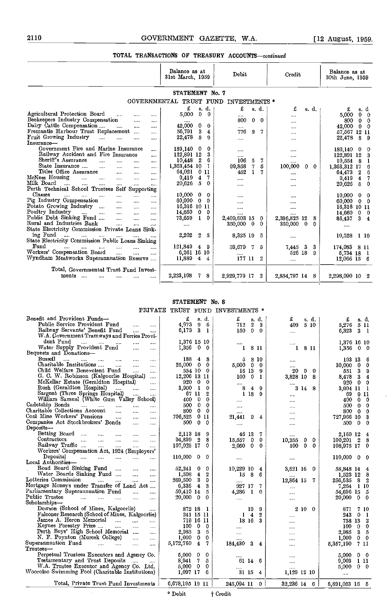|                                                                              | Balance as at<br>31st March, 1959 | Debit                 | Credit            | Balance as at<br>30th June, 1959 |
|------------------------------------------------------------------------------|-----------------------------------|-----------------------|-------------------|----------------------------------|
|                                                                              | STATEMENT No. 7                   |                       |                   |                                  |
| <b>GOVERNMENTAL</b>                                                          | TRUST                             | FUND<br>INVESTMENTS * |                   |                                  |
|                                                                              | £<br>s d.                         | £<br>s. d.            | £<br>s. d.        | £<br>s. d                        |
| Agricultural Protection Board<br>$\cdots$<br><br>$\cdots$                    | 0<br>5,000<br>$\Omega$            |                       |                   | 5,000<br>$\mathbf{0}$<br>0       |
| Beekeepers Industry Compensation<br>$\cdots$<br>10.14                        |                                   | 800<br>0<br>$\theta$  | $\cdots$          | 800<br>0<br>0                    |
| Dairy Cattle Compensation<br>$\cdots$<br>$\cdots$<br>$\cdots$                | 42,000<br>0<br>0                  | $\cdots$              | $\cdots$          | 42,000<br>0<br>0                 |
| Fremantle Harbour Trust Replacement<br>                                      | 3<br>56,791<br>4                  | 776<br>7<br>9         |                   | 57,567 12 11                     |
| Fruit Growing Industry<br>$\cdots$<br>$\cdots$<br>$\cdots$<br>$\cdots$       | 8<br>22,478<br>9                  | $\cdots$              | .                 | 22,478<br>8<br>9                 |
| Insurance-                                                                   |                                   |                       |                   |                                  |
| Government Fire and Marine Insurance<br>                                     | $\mathbf{0}$<br>189,140<br>0      |                       |                   | 189,140<br>$\mathbf{0}$<br>0     |
| Railway Accident and Fire Insurance<br>                                      | 3<br>122,891 12                   |                       | $\cdots$          | 122,891 12<br>3                  |
| Sheriff's Assurance<br>$\cdots$<br><br><br>$\cdots$                          | 2<br>10,448<br>6                  | 7<br>106<br>5         | $\cdots$          | 10,554<br>- 8                    |
| State Insurance<br>$\overline{a}$<br>$\cdots$<br>$\cdots$<br>$\cdots$        | 1,363,454 10<br>L                 | 99,858<br>7<br>5      | 100,000<br>0<br>0 | 1,363,312 17                     |
| Titles Office Assurance<br>$\cdots$<br><br>$\overline{a}$                    | 64,021<br>011                     | 452<br>ı              |                   | $\overline{2}$<br>64,473         |
| McNess Housing<br>$\ddotsc$<br>$\sim$<br>$\cdots$<br>$\cdots$<br>            | 4<br>9.419<br>7                   |                       | $\cdots$          | $\overline{4}$<br>9,419          |
| Milk Board<br>$\ddotsc$<br>$\mathbf{r}$<br><br>$\cdots$<br>                  | 20,626<br>5<br>0                  |                       |                   | $\overline{5}$<br>0<br>20,626    |
| Perth Technical School Trustees<br>Self Supporting                           |                                   |                       |                   |                                  |
| Classes<br>$\cdots$<br><br><br><br>$\cdots$                                  | 10,000<br>0<br>0                  |                       | $\cdots$          | 10,000<br>0<br>0                 |
| Pig Industry Compensation<br>$\cdots$<br><br>                                | 60,000<br>$\bf{0}$<br>0           | .                     |                   | 60,000<br>$\bf{0}$<br>0          |
| Potato Growing Industry<br>$\cdots$<br><br>$\cdots$<br>                      | 16,316 10 11                      |                       | $\cdots$          | 16,316 10 11                     |
| Poultry Industry<br>$\cdots$<br>$\cdots$<br>$\cdots$<br>$\cdots$<br>$\cdots$ | 14,660<br>$\bf{0}$<br>$\bf{0}$    |                       |                   | 14,660<br>$\bf{0}$<br>0          |
| Public Debt Sinking Fund<br>$\ddotsc$<br>$\cdots$<br>$\cdots$                | 73,659<br>0<br>1                  | 2,409,603 15<br>0     | 2,396,825 12<br>8 | 86,437<br>3.<br>4                |
| Rural and Industries Bank<br>$\cdots$<br>$\cdots$<br>1.1.1                   | $\cdots$                          | 350,000<br>0<br>0     | 350,000<br>0<br>0 |                                  |
| State Electricity Commission Private Loans Sink-                             |                                   |                       |                   | $\cdots$                         |
| ing Fund<br>$\sim$<br>$\cdots$<br>$\cdots$<br>$\cdots$                       | 2,202<br>2<br>$\overline{5}$      | 8,325 19<br>5         | $\cdots$          | 10,528<br><b>1 10</b>            |
| State Electricity Commission Public Loans Sinking                            |                                   |                       |                   |                                  |
| Fund<br>$\cdots$<br><br>$\cdots$<br><br>$\cdots$                             | 121,849<br>4<br>- 9               | 59,679<br>7.<br>5     | 3<br>7,445<br>3   | 174,083 8 11                     |
| Workers' Compensation Board<br><br><br>                                      | 6,261 16 10                       |                       | 526 18<br>9       | 5,734 18                         |
| Wyndham Meatworks Superannuation Reserve                                     | 11,889<br>4<br>4                  | 177 11<br>2           | $\cdots$          | $12,066$ 15 6                    |
|                                                                              |                                   |                       |                   |                                  |
| Total, Governmental Trust Fund Invest-                                       |                                   |                       |                   |                                  |
| ments<br>$\cdots$<br>                                                        | 2,223,103<br>8<br>7.              | 2,929,779 17<br>2     | 2,854,797 14 8    | 2,298,090 10<br>2                |
|                                                                              |                                   |                       |                   |                                  |
|                                                                              |                                   |                       |                   |                                  |

#### STATEMENT No. S

|                                                                                                                  | PRIVATE TRUST FUND INVESTMENTS * |                |                   |                         |                  |                     |                                    |
|------------------------------------------------------------------------------------------------------------------|----------------------------------|----------------|-------------------|-------------------------|------------------|---------------------|------------------------------------|
| Benefit and Provident Funds-                                                                                     | £                                | s d            | £                 |                         | s. d.            | £<br>s. d.          | £<br>s d.                          |
| Public Service Provident Fund<br>$\cdots$<br>$\cdots$                                                            | 4,973<br>9                       | $-6$           | 712               | 2                       | 3                | 409<br>5 10         | 5,276 5 11                         |
| Railway Servants' Benefit Fund<br>$\cdots$<br>$\cdots$                                                           | 6,173                            | 3 <sub>1</sub> | 150               | $\mathbf{0}$            | $^{\circ}$       | $\cdots$            | 6,323<br>3 <sub>1</sub>            |
| W.A. Government Tramways and Ferries Provi-                                                                      |                                  |                |                   |                         |                  |                     |                                    |
| dent Fund<br><br>$\cdots$                                                                                        | 1,376 15 10                      |                |                   |                         |                  |                     | 1,376 16 10                        |
| Water Supply Provident Fund<br><br>                                                                              | 1,356                            | $0\quad 0$     | 1                 |                         | 8 H              | 8 11<br>1           | $1.356$ 0 0                        |
| Bequests and Donations-                                                                                          |                                  |                |                   |                         |                  |                     |                                    |
| Bussell<br>$\cdots$<br>$\sim$<br>$\cdots$<br>$\cdots$<br>                                                        | 188                              | 48             | 5                 |                         | -8-10            | $\cdots$            | 193 13<br>6                        |
| Charitable Institutions<br>$\cdots$<br>$\cdots$<br>$\cdots$                                                      | 25,000 0 0                       |                | $5,000 \quad 0$   |                         | $\boldsymbol{0}$ |                     | 0<br>30,000<br>$\mathbf{0}$        |
| Child Welfare Benevolent Fund<br>$\cdots$<br>$\cdots$                                                            | 554 10 0                         |                | 16 13             |                         | -9               | 20<br>0<br>$\theta$ | 551<br>3<br>9                      |
| G. C. W. Robinson (Kalgoorlie Hospital)<br>$\cdots$                                                              | 12,206 13 11                     |                | 100               | $\overline{0}$          | -1               | 3,828 10<br>8       | 8,478<br>3<br>4                    |
| McKellar Estate (Geraldton Hospital)<br>$\cdots$                                                                 | 920 0 0                          |                | $\cdots$          |                         |                  |                     | 920 0<br>0                         |
| Rush (Geraldton Hospital)<br><b>Contract</b><br>$\mathbf{1}$<br>$\cdots$                                         | 3,900 1                          | 0              | 8                 | $\overline{\mathbf{4}}$ | 9                | 3148                | 3,904 11 1                         |
| Sargent (Three Springs Hospital)<br>$\sim$ $\sim$<br>$\cdots$                                                    | 67 11                            | 2              |                   | 1 18                    | 9                | $\cdots$            | 69<br>911                          |
| William Samuel (White Gum Valley School)                                                                         | 0<br>400.                        | 0              | $\cdots$          |                         |                  |                     | 不<br>400.<br>$\mathbf{0}$<br>0     |
| Cadetship Bonds<br>and the same<br>$\cdots$<br>$\cdots$<br>                                                      | $\mathbf{0}$<br>500              | 0              | $\cdots$          |                         |                  | .                   | 500<br>$\mathbf{0}$<br>$\bf{0}$    |
| Charitable Collections Account<br>$\cdots$<br>$\cdots$<br>$\cdots$                                               | 800                              | $0\quad 0$     |                   |                         |                  | .                   | 800<br>$\mathbf{0}$<br>0           |
| Coal Mine Workers' Pensions<br>$\cdots$<br>$\cdots$<br>$\cdots$                                                  | 706,525                          | 011            | 21,441            | -9                      | 4                | .                   | 727,966 10<br>3                    |
| Companies Act Stockbrokers' Bonds<br>$\cdots$<br>$\cdots$                                                        | $\theta$<br>500                  | $\mathbf{0}$   | $\cdots$          |                         |                  |                     | 500<br>$\mathbf{0}$<br>$\mathbf 0$ |
| Deposits-                                                                                                        |                                  |                |                   |                         |                  |                     |                                    |
| Betting Board<br><b>Continued State</b><br>$\cdots$<br>$\cdots$                                                  | 2,113 18 9                       |                | 46 13             |                         | -7               |                     | 2.160 12 4                         |
| Contractors<br>$\sim$ $\sim$<br>and the con-<br>$\sim$ . $\sim$<br>$\cdots$<br>$\cdots$                          | $\overline{2}$<br>94,899         | 8              | 15,557            | $\mathbf{0}$            | 0                | 10,255<br>0<br>0    | $100,201$ 2<br>- 8                 |
| Railway Traffic<br>المتنا المتناء<br>$\cdots$<br>$\ldots$                                                        | 107,025 17                       | $\mathbf 0$    | 2,050             | $\mathbf 0$             | 0                | 0<br>0<br>100       | 108,975 17 0                       |
| Workers' Compensation Act, 1924 (Employers'                                                                      |                                  |                |                   |                         |                  |                     |                                    |
| Deposits)<br><b>Sales Control</b><br>$\cdots$ $\cdots$<br>$\cdots$<br>$\cdots$                                   | 110,000<br>$\mathbf{0}$          | $\mathbf{0}$   | $\cdots$          |                         |                  | 10.10               | $110,000$ 0<br>- 0                 |
| Local Authorities-                                                                                               |                                  |                |                   |                         |                  |                     |                                    |
| Road Board Sinking Fund<br><br>$\cdots$                                                                          | 52.241<br>0                      | 0              | 10,229 10         |                         | 4                | 3,621 16 0          | 58,848 14 4                        |
| Water Boards Sinking Fund<br>$\cdots$<br>$\cdots$                                                                | $\bf{4}$<br>1,508                | 2              | 15                | - 8                     | -6               |                     | 1.523 12 8                         |
| Lotteries Commission<br>$\mathcal{L} = \{1, 2, \ldots, n\}$<br>$\sim 100$ and $\sim 100$<br>$\cdots$<br>$\cdots$ | 3<br>269,500                     | 9              |                   |                         |                  | 12,864 15<br>-7     | 256,635 8 2                        |
| Mortgage Moneys under Transfer of Land Act                                                                       | $\overline{4}$<br>6,336          | 3              | 927 17            |                         | 7                | $\cdots$            | 7,264 1 10                         |
| Parliamentary Superannuation Fund<br>$\mathbf{r}$                                                                | 50,410 14                        | 5              | 4,286             | $\mathbf{1}$            | $\theta$         |                     | 54,696 15 5                        |
| Public Trustee<br>المستنبذ السباب السبانية<br>$\cdots$<br>.                                                      | $20,000 \quad 0$                 | 0              | $\cdots$          |                         |                  | $\cdots$            | 20,000 0 0                         |
| Scholarships-                                                                                                    |                                  |                |                   |                         |                  |                     |                                    |
| Dowson (School of Mines, Kalgoorlie)                                                                             | 872 18                           | - 1            |                   | 19                      | -9               | 2100                | 871<br>7 10                        |
| Falconer Research (School of Mines, Kalgoorlie)                                                                  | 241 15 11                        |                |                   | $1\quad 4$              | -2               | $\cdots$            | 243<br>0 <sub>1</sub>              |
| James A. Heron Memorial<br>المنتب المنتب<br>$\cdots$                                                             | 719 16 11                        |                | 18 16             |                         | 3                |                     | 738 13<br>2                        |
| Keynes Forestry Prize<br>$\cdots$<br>$\cdots$                                                                    | $100 \t 0 \t 0$                  |                |                   |                         |                  | $\cdots$            | $\mathbf{0}$<br>0<br>100           |
| Perth Boys' High School Memorial<br>$\cdots$                                                                     | 2.985<br>3                       | 5              |                   |                         |                  |                     | 2,985<br>$3 -$<br>-5               |
| N. F. Poynton (Muresk College)<br>$\cdots$                                                                       | $\mathbf{0}$<br>1.000            | 0              |                   |                         |                  |                     | 1,000<br>$0\quad 0$                |
| Superannuation Fund<br>$\cdots$                                                                                  | 5,172,760<br>$\boldsymbol{4}$    | 7.             | $184,430 \quad 3$ |                         | $\overline{4}$   | $\cdots$            | 7 11<br>5,357,190                  |
| Trustees-                                                                                                        |                                  |                |                   |                         |                  |                     |                                    |
| Perpetual Trustees Executors and Agency Co.                                                                      | 5,000<br>$\mathbf{0}$            | 0              |                   |                         |                  |                     | 5.000<br>$0\quad 0$                |
| Testamentary and Trust Deposits                                                                                  | 7<br>8,941                       | 5              | 61 14 6           |                         |                  |                     | 9,003 1 11                         |
| W.A. Trustee Executor and Agency Co. Ltd.                                                                        | $\mathbf 0$<br>5,000             | 0              | $\cdots$          |                         |                  | $\cdots$            | 5,000 0 0                          |
| Wooroloo Swimming Pool (Charitable Institutions)                                                                 | $1,097$ 17 6                     |                | 31 15 4           |                         |                  | 1,129 12 10         | $\ldots$                           |
| Total, Private Trust Fund Investments                                                                            | $6,678,195$ 19 11                |                | 245,094 11 0      |                         |                  | 32,236 14 6         | 6,891,053 16 5                     |

\* Debit  $\uparrow$  Credit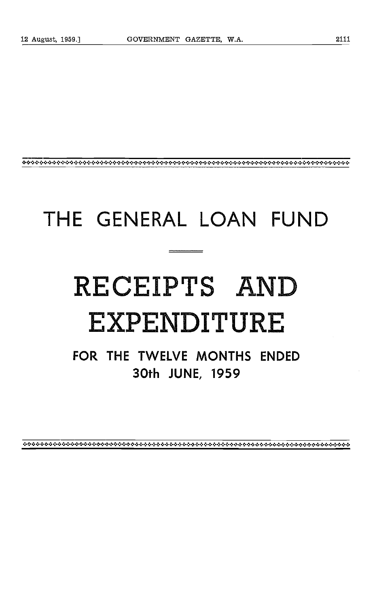# THE GENERAL LOAN FUND

# RECEIPTS AND EXPENDITURE

FOR THE TWELVE MONTHS ENDED 30th JUNE, 1959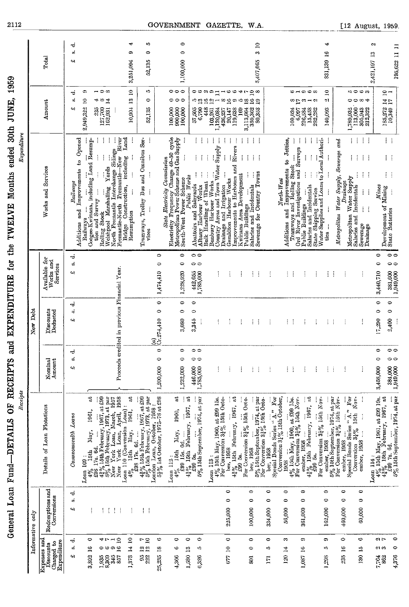|                                                                               |                                     | Receipts<br>General Loan Fund-DETAILS                                                                                                                                                                                                                                                                                                                                                                                                                                       | and<br><b>OF RECEIPTS</b>                                                   | EXPENDITURE for the TWELVE Months               |                                                | Expenditure                                                                                                                                                                                    | 1959<br>ended 30th JUNE,                                |                                   |
|-------------------------------------------------------------------------------|-------------------------------------|-----------------------------------------------------------------------------------------------------------------------------------------------------------------------------------------------------------------------------------------------------------------------------------------------------------------------------------------------------------------------------------------------------------------------------------------------------------------------------|-----------------------------------------------------------------------------|-------------------------------------------------|------------------------------------------------|------------------------------------------------------------------------------------------------------------------------------------------------------------------------------------------------|---------------------------------------------------------|-----------------------------------|
|                                                                               | Informative only                    |                                                                                                                                                                                                                                                                                                                                                                                                                                                                             |                                                                             | New Debt                                        |                                                |                                                                                                                                                                                                |                                                         |                                   |
| Expenses and<br>Charged to<br>Expenditure<br>Diseounts                        | Redcmptions and<br>Conversions      | Details of Loan Flotations                                                                                                                                                                                                                                                                                                                                                                                                                                                  | Nomina<br>Amount                                                            | Discounts<br>Deducted                           | Available for<br>Works and<br>Services         | Works and Services                                                                                                                                                                             | Amount                                                  | Total                             |
| ಸ<br>á<br>43                                                                  | ಸ<br>ú,<br>44                       | Loans<br>Conmonov each h                                                                                                                                                                                                                                                                                                                                                                                                                                                    | ಕ<br>બ                                                                      | ಕ<br>s,<br>43                                   | d<br>ú<br>ړې                                   | Additions and Improvements to Opened<br>Railways                                                                                                                                               | ಕ<br>øĵ<br>41                                           | ಕ<br>öÎ<br>4                      |
| $\circ$<br>3,892 16                                                           | ŧ                                   | đ<br>1961,<br>May,<br><b>15th</b><br>Loan 109:<br>े<br>क                                                                                                                                                                                                                                                                                                                                                                                                                    |                                                                             |                                                 |                                                | Coogee-Kwinana, including Land Resump-<br>Railways                                                                                                                                             | c,<br>2,949,322 10                                      |                                   |
| 41 I<br>0<br>1,935<br>8,309                                                   | ÷<br>÷                              | $\begin{bmatrix} 438 & 178 & 64. & \dots & \dots & \dots \\ 438 & 1564 & February, 1967, at 439 \\ 5\% & 1564 & Tebruary, 1973, at part \\ New York Loan, March, 1957New York Loan, April, 1958New York Loan, April, 1958$                                                                                                                                                                                                                                                  |                                                                             |                                                 |                                                | $\vdots$<br>ţ<br>$\ddot{z}$<br>$\vdots$<br>$\vdots$<br>Î<br>tion and Survey<br>Rolling Stock                                                                                                   | ⇔ ∞<br>Į<br>23<br>127,700<br>162,931                    |                                   |
| $\overline{\phantom{a}}$ $\overline{a}$<br>$\overline{1}$<br>¢.<br>345<br>857 | ÷<br>Ť                              | Loan 110 (Conversion Loan):                                                                                                                                                                                                                                                                                                                                                                                                                                                 | Proceeds                                                                    | eredited in previous Financial Year.            |                                                | Î<br>River<br>including Land<br>Welstre of Marshalling Yards<br>North Fremantle Interchange Sidings<br>Fremantle-North Fremantle--New R<br>Eridge Construction, including I                    |                                                         |                                   |
| 1,373 14 10                                                                   | ÷                                   | $\mathbf{a}$<br>1961,<br>May,<br>$\begin{array}{ll} \text{10}_{\text{v}} & \text{15th} \\ \text{15th} & \text{1.} \\ \text{1.} & \text{1.} \\ \text{1.} & \text{1.} \\ \text{1.} & \text{1.} \\ \text{1.} & \text{1.} \\ \text{1.} & \text{1.} \\ \text{1.} & \text{1.} \\ \text{1.} & \text{1.} \\ \text{1.} & \text{1.} \\ \text{1.} & \text{1.} \\ \text{1.} & \text{1.} \\ \text{1.} & \text{1.} \\ \text{1.} & \text{1.} \\ \text{1.} & \text{$<br>£98 17s.<br>$4 - 6$ |                                                                             |                                                 |                                                | Resumption                                                                                                                                                                                     | 10,904 13 10                                            | ₩<br>Φ<br>3,251,004               |
| $\mathbb{F}$ 2<br>$\frac{21}{11}$<br><b>382</b>                               | ŧ<br>j                              | $4\frac{3}{4}$ % $\frac{1}{4}$ is now iii, $1807$ , at $499$<br>$3\frac{9}{6}$ 15th Tebruary, 1973, at par<br>London Loan, October, 1958 :<br>$5\frac{1}{2}$ % 1st October, 1975–78 at £98                                                                                                                                                                                                                                                                                  |                                                                             |                                                 |                                                | Tramways, Trolley Bus and Omnibus Ser-<br>$\vdots$<br>$\vdots$<br>$\vdots$<br>ŧ<br>$\vdots$<br>vices                                                                                           | ı.<br>$\circ$<br>52,135                                 | ю<br>$\bullet$<br>52,135          |
| ث<br>$^{2}$<br>25,235                                                         |                                     |                                                                                                                                                                                                                                                                                                                                                                                                                                                                             | $\ddot{\phantom{0}}$<br>1,200,000                                           | $\circ$<br>$\circ$<br>$\frac{(a)}{(x.274,410)}$ | $\bullet$<br>$\ddot{\phantom{1}}$<br>1,474,410 |                                                                                                                                                                                                |                                                         |                                   |
| $\circ$<br>అ<br>4,366                                                         |                                     | Loan 112                                                                                                                                                                                                                                                                                                                                                                                                                                                                    |                                                                             |                                                 |                                                | Electricity Commesser.<br>Change 40-50 cycle<br>Change 40-50 cycle<br><sup>2</sup> Cas Supply<br>Electricity Frequency Change 40–50 cycle<br>Metropolitan Power Scheme and Gas Supply<br>State | 00<br>$\circ$<br>100,000<br>900,000                     |                                   |
| $\circ$<br>$\mathbb{C}$<br>1,580                                              |                                     |                                                                                                                                                                                                                                                                                                                                                                                                                                                                             | 0<br>1,232,000                                                              | $\circ$<br>0<br>3,080                           | $\bullet$<br>$\circ$<br>1,228,920              | $\vdots$<br>$\vdots$<br>Public Works<br>South-West Power Scheme                                                                                                                                | $\circ$<br>$\circ$<br>100,000                           | $\bullet$<br>$\circ$<br>1,100,000 |
| $\bullet$<br>ю<br>6,320                                                       |                                     |                                                                                                                                                                                                                                                                                                                                                                                                                                                                             | $\circ$<br>446,000<br>1,785,000                                             | $\circ$<br>$\ddot{\phantom{1}}$<br>3,345<br>İ   | $\circ$<br>00<br>$\frac{442,655}{1,785,000}$   | ÷<br>÷<br>ŧ<br>Ť<br>ŧ<br>Abattoirs and Saleyards<br>Albany Harbour Works                                                                                                                       | ం ు<br>π<br>Π<br>57,505<br>6,790                        |                                   |
|                                                                               |                                     |                                                                                                                                                                                                                                                                                                                                                                                                                                                                             |                                                                             |                                                 |                                                | ł<br>Bulk Handling of Wheat<br>Bunbury Harbour Works                                                                                                                                           | း ေ<br>$\mathbb{Z}$<br>$\frac{6}{1}$<br>48<br>103,261   |                                   |
|                                                                               |                                     | Loan 113 : $4\%$ 16th May, 1960, at £99 15s.<br>For Conversion 34% 15th Octo-                                                                                                                                                                                                                                                                                                                                                                                               | ŧ                                                                           | ŧ                                               | ţ                                              | ł<br>Country Areas and Town Water Supply<br>Drainage and Irrigation                                                                                                                            | $\Xi$<br>∞<br>1,120,084<br>426,237                      |                                   |
| $\circ$<br>$\approx$<br>677                                                   | $\circ$<br>$\circ$<br>225,000       | ber, 1958<br>% 15th February, 1967, at<br>$43\frac{9}{590}$ 15th<br>$\frac{439}{590}$ 5s.                                                                                                                                                                                                                                                                                                                                                                                   |                                                                             | Î                                               |                                                | ÷<br>Î<br>occanicoli maintent rivies<br>Improvements to Harbours and Rivers<br>Geraldton Harbour Works                                                                                         | ⊣లఅ<br>$\frac{6}{1}$<br>ග<br>20,147<br>119,638          |                                   |
|                                                                               |                                     | For Conversion 32% 15th Octo-                                                                                                                                                                                                                                                                                                                                                                                                                                               | ł                                                                           | ÷                                               | ŧ                                              | į<br>Î<br>Kwinana Area Development<br>Public Buildings                                                                                                                                         | $\overline{18}$<br>3,113,664<br>169                     |                                   |
| $\circ$<br>$\Rightarrow$<br>SO <sub>1</sub>                                   | $\circ$<br>$\circ$<br>100,000       | ber, 1958<br>5% 15th September, 1974, at par                                                                                                                                                                                                                                                                                                                                                                                                                                | ÷<br>÷                                                                      | ÷<br>÷                                          | ŧ<br>ŧ                                         | Ť.<br>÷<br>÷<br>ŧ<br>ŧ<br>$\vdots$<br>Sewerage for Country Towns<br>Salaries and Incidentals                                                                                                   | 4.58<br>$\Xi$<br>$\mathbf{a}$<br>359,362<br>80,353      | $\frac{310}{2}$<br>5,407,605      |
| $\circ$<br>ю<br>$\overline{171}$                                              | $\circ$<br>$\circ$<br>334,000       | For Conversion 32% 15th Octo-                                                                                                                                                                                                                                                                                                                                                                                                                                               | Î                                                                           | ÷                                               | I                                              |                                                                                                                                                                                                |                                                         |                                   |
|                                                                               |                                     | ber, 1958<br>Special Bonds Series "A." For<br>Conversion $31\%$ 15th October,                                                                                                                                                                                                                                                                                                                                                                                               |                                                                             |                                                 |                                                | North West                                                                                                                                                                                     |                                                         |                                   |
| s<br>$\vec{r}$<br>130                                                         | $\ddot{\circ}$<br>$\circ$<br>56,000 | 1958                                                                                                                                                                                                                                                                                                                                                                                                                                                                        | ŧ<br>ŧ                                                                      | ŧ<br>ŧ                                          | ŧ<br>ŧ                                         | Additions and Improvements to Jetties,<br>Tramways and Rolling Stock<br>Ord River Investigations and Surveys                                                                                   | $\frac{8}{1}$<br>$\frac{160,624}{6,097}$                |                                   |
| G)<br>$\frac{6}{10}$<br>1,087                                                 | $\bullet$<br>0<br>361,000           | $4\%$ 1381 May, 1960, at 439 158.<br>For Conversion 34% 15th Nov-<br>ember, 1968<br>44% 15th February, 1967, at<br>44% 15th February, 1967, at                                                                                                                                                                                                                                                                                                                              | i                                                                           | i                                               | ÷                                              | İ<br>Í<br>į<br>Publie Buildings                                                                                                                                                                | တာ႕တာမာတ<br>∾<br>226,584                                |                                   |
|                                                                               |                                     | For Conversion 31% 15th Nov-<br>$\ddot{s}$<br>្ថុឌី                                                                                                                                                                                                                                                                                                                                                                                                                         | ŧ                                                                           | ŧ                                               |                                                |                                                                                                                                                                                                | ⊣ ๗<br>15,458<br>282,282                                |                                   |
| c<br>ю<br>1,298                                                               | $\bullet$<br>$\circ$<br>162,000     | ember, 1958<br>5% 15th September, 1974, at par<br>For Conversion $3\frac{1}{4}\%$ 15th Nov-                                                                                                                                                                                                                                                                                                                                                                                 | ŧ<br>ł                                                                      | ŧ<br>Ť                                          | ŧ                                              | $\vdots$<br>ties                                                                                                                                                                               | $\supseteq$<br>21<br>140,093                            | ₩<br>831,139 16                   |
|                                                                               |                                     |                                                                                                                                                                                                                                                                                                                                                                                                                                                                             |                                                                             |                                                 | ÷                                              | Metropolitan Water Supply, Sewerage and                                                                                                                                                        |                                                         |                                   |
| $\circ$<br>$16\,$<br>235                                                      | $\bullet$<br>$\circ$<br>460,000     | $\begin{tabular}{l} \hbox{for $\cdots$} \\\hbox{966} \\\hbox{986} \\\hbox{588} \\\hbox{686} \\\hbox{686} \\\hbox{758} \\\hbox{88} \\\hbox{758} \\\hbox{88} \\\hbox{88} \\\hbox{88} \\\hbox{88} \\\hbox{88} \\\hbox{88} \\\hbox{88} \\\hbox{98} \\\hbox{15} \\\hbox{15} \\\hbox{15} \\\hbox{15} \\\hbox{15} \\\hbox{15} \\\hbox{15} \\\hbox{15} \\\h$                                                                                                                        | ÷                                                                           | ÷                                               | ÷                                              | ţ.<br>ŧ<br>Metropolitan Water Supply<br>Drainage                                                                                                                                               | 10 O<br>$\circ$<br>1,789,932                            |                                   |
| ٥<br>$\ddot{ }$<br>30                                                         | $\bullet$<br>$\circ$<br>60,000      | ember, 1958                                                                                                                                                                                                                                                                                                                                                                                                                                                                 | ł                                                                           | ŧ                                               | ł                                              | ÷.<br>÷<br>$\frac{1}{2}$<br>÷<br>ŧ<br>ŧ<br>Salaries and Incidentals<br>ŧ<br>Sewerage                                                                                                           | ಲಿ ಉ<br>$\circ$<br>ಂ ಈ<br>113,000<br>305,943<br>212,322 |                                   |
|                                                                               |                                     |                                                                                                                                                                                                                                                                                                                                                                                                                                                                             |                                                                             |                                                 |                                                | -i<br>đ<br>÷<br>Í<br>Drainage                                                                                                                                                                  |                                                         | N<br>2,421,197 13                 |
| 20<br>၀၊ ၈<br>7,764<br>362                                                    |                                     | Loan 114 :<br>4% 15th May, 1961, at £99 10s.<br>43% 15th February, 1967, at<br>£99 7s. 6d.                                                                                                                                                                                                                                                                                                                                                                                  | $\bullet$<br>3,458,000                                                      | $\circ$<br>$\circ$<br>17,290                    | $\circ$<br>$\circ$<br>3,440,710                | $\left\{ \begin{array}{c} 1 \\ 1 \end{array} \right\}$<br>Aines<br>Development of Mining<br>State Batteries                                                                                    | $\approx$<br>185,272 14<br>10,349 17                    |                                   |
| $\circ$<br>$\circ$<br>4,376                                                   |                                     | $5\%$ 15th September, 1974, at par                                                                                                                                                                                                                                                                                                                                                                                                                                          | $\circ$<br>$\begin{array}{ c c } \hline & 384,000 \\ 1,949,000 \end{array}$ | $\circ$<br>$\bullet$<br>2,400                   | $\circ$<br>$\circ$<br>381,600<br>1,949,000     | $\frac{1}{2}$<br>$\mathbb{R}^n$                                                                                                                                                                |                                                         | $\Xi$<br>195,622 11               |
|                                                                               |                                     |                                                                                                                                                                                                                                                                                                                                                                                                                                                                             |                                                                             |                                                 |                                                |                                                                                                                                                                                                |                                                         |                                   |
|                                                                               |                                     |                                                                                                                                                                                                                                                                                                                                                                                                                                                                             |                                                                             |                                                 |                                                |                                                                                                                                                                                                |                                                         |                                   |
|                                                                               |                                     |                                                                                                                                                                                                                                                                                                                                                                                                                                                                             |                                                                             |                                                 |                                                |                                                                                                                                                                                                |                                                         |                                   |

2112

General Loan Fund-DETAILS OF RECEIPTS and EXPENDITURE for the TWELVE Months ended 30th JUNE, 1959

[12 August, 1959.